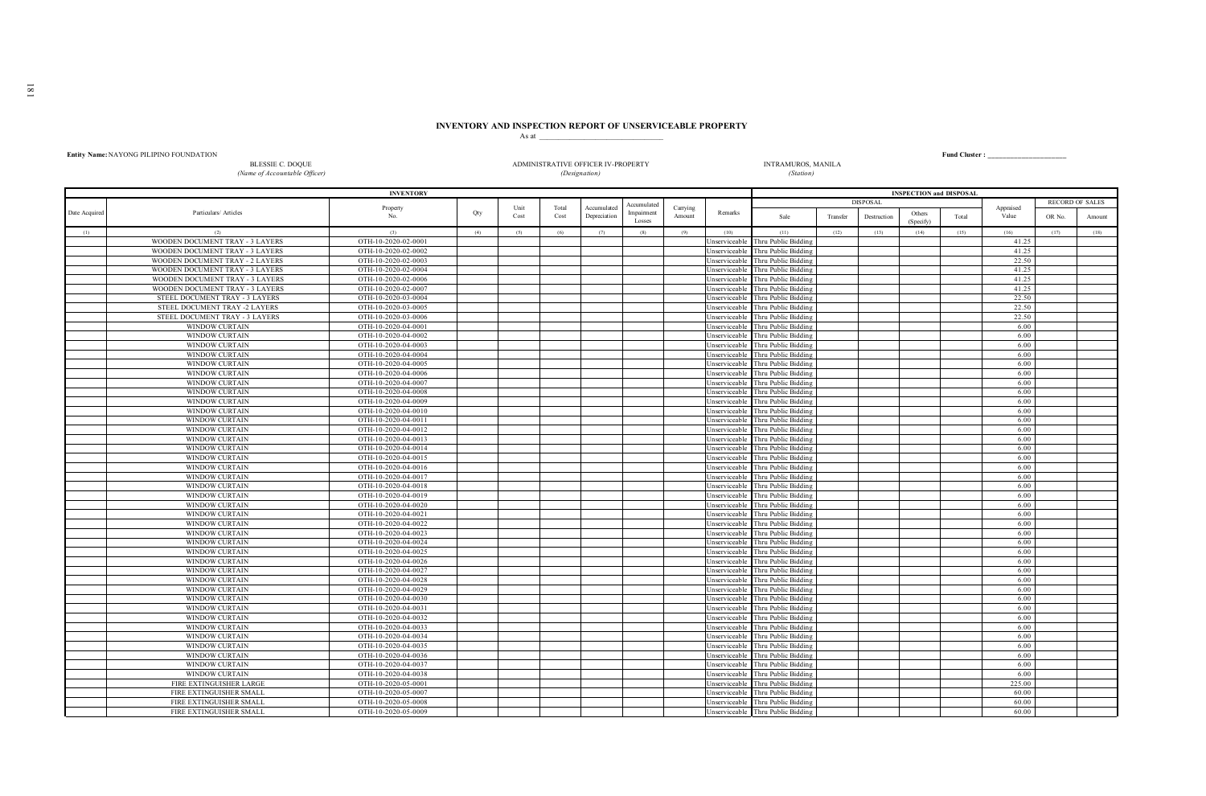## **INVENTORY AND INSPECTION REPORT OF UNSERVICEABLE PROPERTY**

|               |                                         |                     |     | As at |       |                                    |                           |          |               |                                   |          |                 |                                |       |           |        |                        |
|---------------|-----------------------------------------|---------------------|-----|-------|-------|------------------------------------|---------------------------|----------|---------------|-----------------------------------|----------|-----------------|--------------------------------|-------|-----------|--------|------------------------|
|               | Entity Name: NAYONG PILIPINO FOUNDATION |                     |     |       |       |                                    |                           |          |               |                                   |          |                 |                                |       |           |        |                        |
|               | <b>BLESSIE C. DOQUE</b>                 |                     |     |       |       | ADMINISTRATIVE OFFICER IV-PROPERTY |                           |          |               | <b>INTRAMUROS, MANILA</b>         |          |                 |                                |       |           |        |                        |
|               | (Name of Accountable Officer)           |                     |     |       |       | (Designation)                      |                           |          |               | (Station)                         |          |                 |                                |       |           |        |                        |
|               |                                         |                     |     |       |       |                                    |                           |          |               |                                   |          |                 |                                |       |           |        |                        |
|               |                                         | <b>INVENTORY</b>    |     |       |       |                                    |                           |          |               |                                   |          |                 | <b>INSPECTION and DISPOSAL</b> |       |           |        | <b>RECORD OF SALES</b> |
| Date Acquired | Particulars/ Articles                   | Property            | Qty | Unit  | Total | Accumulated                        | Accumulated<br>Impairment | Carrying | Remarks       |                                   |          | <b>DISPOSAL</b> |                                |       | Appraised |        |                        |
|               |                                         | No.                 |     | Cost  | Cost  | Depreciation                       | Losses                    | Amount   |               | Sale                              | Transfer | Destruction     | Others<br>(Specify)            | Total | Value     | OR No. | Amount                 |
| (1)           | (2)                                     | (3)                 | (4) | (5)   | (6)   | (7)                                | (8)                       | (9)      | (10)          | (11)                              | (12)     | (13)            | (14)                           | (15)  | (16)      | (17)   | (18)                   |
|               | WOODEN DOCUMENT TRAY - 3 LAYERS         | OTH-10-2020-02-0001 |     |       |       |                                    |                           |          | nserviceable  | Thru Public Bidding               |          |                 |                                |       | 41.25     |        |                        |
|               | WOODEN DOCUMENT TRAY - 3 LAYERS         | OTH-10-2020-02-0002 |     |       |       |                                    |                           |          | nserviceable  | Thru Public Bidding               |          |                 |                                |       | 41.25     |        |                        |
|               | WOODEN DOCUMENT TRAY - 2 LAYERS         | OTH-10-2020-02-0003 |     |       |       |                                    |                           |          | nserviceable  | Thru Public Bidding               |          |                 |                                |       | 22.50     |        |                        |
|               | WOODEN DOCUMENT TRAY - 3 LAYERS         | OTH-10-2020-02-0004 |     |       |       |                                    |                           |          | nserviceable  | Thru Public Bidding               |          |                 |                                |       | 41.25     |        |                        |
|               | WOODEN DOCUMENT TRAY - 3 LAYERS         | OTH-10-2020-02-0006 |     |       |       |                                    |                           |          | nserviceable  | Thru Public Bidding               |          |                 |                                |       | 41.25     |        |                        |
|               | WOODEN DOCUMENT TRAY - 3 LAYERS         | OTH-10-2020-02-0007 |     |       |       |                                    |                           |          | nserviceable  | Thru Public Bidding               |          |                 |                                |       | 41.25     |        |                        |
|               | STEEL DOCUMENT TRAY - 3 LAYERS          | OTH-10-2020-03-0004 |     |       |       |                                    |                           |          | nserviceable  | Thru Public Bidding               |          |                 |                                |       | 22.50     |        |                        |
|               | STEEL DOCUMENT TRAY -2 LAYERS           | OTH-10-2020-03-0005 |     |       |       |                                    |                           |          | nserviceable  | Thru Public Bidding               |          |                 |                                |       | 22.50     |        |                        |
|               | STEEL DOCUMENT TRAY - 3 LAYERS          | OTH-10-2020-03-0006 |     |       |       |                                    |                           |          | nserviceable  | Thru Public Bidding               |          |                 |                                |       | 22.50     |        |                        |
|               | <b>WINDOW CURTAIN</b>                   | OTH-10-2020-04-0001 |     |       |       |                                    |                           |          | nserviceable  | Thru Public Bidding               |          |                 |                                |       | 6.00      |        |                        |
|               | <b>WINDOW CURTAIN</b>                   | OTH-10-2020-04-0002 |     |       |       |                                    |                           |          | nserviceable  | Thru Public Bidding               |          |                 |                                |       | 6.00      |        |                        |
|               | <b>WINDOW CURTAIN</b>                   | OTH-10-2020-04-0003 |     |       |       |                                    |                           |          | nserviceable  | Thru Public Bidding               |          |                 |                                |       | 6.00      |        |                        |
|               | <b>WINDOW CURTAIN</b>                   | OTH-10-2020-04-0004 |     |       |       |                                    |                           |          | nserviceable  | Thru Public Bidding               |          |                 |                                |       | 6.00      |        |                        |
|               | WINDOW CURTAIN                          | OTH-10-2020-04-0005 |     |       |       |                                    |                           |          | nserviceable  | Thru Public Bidding               |          |                 |                                |       | 6.00      |        |                        |
|               | <b>WINDOW CURTAIN</b>                   | OTH-10-2020-04-0006 |     |       |       |                                    |                           |          | nserviceable  | Thru Public Bidding               |          |                 |                                |       | 6.00      |        |                        |
|               | <b>WINDOW CURTAIN</b>                   | OTH-10-2020-04-0007 |     |       |       |                                    |                           |          | nserviceable  | Thru Public Bidding               |          |                 |                                |       | 6.00      |        |                        |
|               | <b>WINDOW CURTAIN</b>                   | OTH-10-2020-04-0008 |     |       |       |                                    |                           |          | nserviceable  | Thru Public Bidding               |          |                 |                                |       | 6.00      |        |                        |
|               | <b>WINDOW CURTAIN</b>                   | OTH-10-2020-04-0009 |     |       |       |                                    |                           |          | nserviceable  | Thru Public Bidding               |          |                 |                                |       | 6.00      |        |                        |
|               | WINDOW CURTAIN                          | OTH-10-2020-04-0010 |     |       |       |                                    |                           |          | nserviceable  | Thru Public Bidding               |          |                 |                                |       | 6.00      |        |                        |
|               | <b>WINDOW CURTAIN</b>                   | OTH-10-2020-04-0011 |     |       |       |                                    |                           |          | nserviceable  | Thru Public Bidding               |          |                 |                                |       | 6.00      |        |                        |
|               | <b>WINDOW CURTAIN</b>                   | OTH-10-2020-04-0012 |     |       |       |                                    |                           |          | nserviceable  | Thru Public Bidding               |          |                 |                                |       | 6.00      |        |                        |
|               | WINDOW CURTAIN                          | OTH-10-2020-04-0013 |     |       |       |                                    |                           |          | nserviceable  | Thru Public Bidding               |          |                 |                                |       | 6.00      |        |                        |
|               | WINDOW CURTAIN                          | OTH-10-2020-04-0014 |     |       |       |                                    |                           |          | nserviceable  | Thru Public Bidding               |          |                 |                                |       | 6.00      |        |                        |
|               | WINDOW CURTAIN                          | OTH-10-2020-04-0015 |     |       |       |                                    |                           |          | nserviceable  | Thru Public Bidding               |          |                 |                                |       | 6.00      |        |                        |
|               | WINDOW CURTAIN                          | OTH-10-2020-04-0016 |     |       |       |                                    |                           |          | nserviceable  | Thru Public Bidding               |          |                 |                                |       | 6.00      |        |                        |
|               | <b>WINDOW CURTAIN</b>                   | OTH-10-2020-04-0017 |     |       |       |                                    |                           |          | nserviceable  | Thru Public Bidding               |          |                 |                                |       | 6.00      |        |                        |
|               | WINDOW CURTAIN                          | OTH-10-2020-04-0018 |     |       |       |                                    |                           |          | nserviceabl   | Thru Public Bidding               |          |                 |                                |       | 6.00      |        |                        |
|               | <b>WINDOW CURTAIN</b>                   | OTH-10-2020-04-0019 |     |       |       |                                    |                           |          | nserviceable  | Thru Public Bidding               |          |                 |                                |       | 6.00      |        |                        |
|               | WINDOW CURTAIN                          | OTH-10-2020-04-0020 |     |       |       |                                    |                           |          | nserviceable  | Thru Public Bidding               |          |                 |                                |       | 6.00      |        |                        |
|               | <b>WINDOW CURTAIN</b>                   | OTH-10-2020-04-0021 |     |       |       |                                    |                           |          | nserviceable  | Thru Public Bidding               |          |                 |                                |       | 6.00      |        |                        |
|               | <b>WINDOW CURTAIN</b>                   | OTH-10-2020-04-0022 |     |       |       |                                    |                           |          | nserviceable  | Thru Public Bidding               |          |                 |                                |       | 6.00      |        |                        |
|               | WINDOW CURTAIN                          | OTH-10-2020-04-0023 |     |       |       |                                    |                           |          | nserviceable  | Thru Public Bidding               |          |                 |                                |       | 6.00      |        |                        |
|               | WINDOW CURTAIN                          | OTH-10-2020-04-0024 |     |       |       |                                    |                           |          | nserviceable  | Thru Public Bidding               |          |                 |                                |       | 6.00      |        |                        |
|               | WINDOW CURTAIN                          | OTH-10-2020-04-0025 |     |       |       |                                    |                           |          | nserviceable  | Thru Public Bidding               |          |                 |                                |       | 6.00      |        |                        |
|               | <b>WINDOW CURTAIN</b>                   | OTH-10-2020-04-0026 |     |       |       |                                    |                           |          | nserviceable  | Thru Public Bidding               |          |                 |                                |       | 6.00      |        |                        |
|               | <b>WINDOW CURTAIN</b>                   | OTH-10-2020-04-0027 |     |       |       |                                    |                           |          | nserviceable  | Thru Public Bidding               |          |                 |                                |       | 6.00      |        |                        |
|               | WINDOW CURTAIN                          | OTH-10-2020-04-0028 |     |       |       |                                    |                           |          | nserviceable  | Thru Public Bidding               |          |                 |                                |       | 6.00      |        |                        |
|               | WINDOW CURTAIN                          | OTH-10-2020-04-0029 |     |       |       |                                    |                           |          | nserviceable  | Thru Public Bidding               |          |                 |                                |       | 6.00      |        |                        |
|               | WINDOW CURTAIN                          | OTH-10-2020-04-0030 |     |       |       |                                    |                           |          | nserviceable  | Thru Public Bidding               |          |                 |                                |       | 6.00      |        |                        |
|               | <b>WINDOW CURTAIN</b>                   | OTH-10-2020-04-0031 |     |       |       |                                    |                           |          | nserviceable  | Thru Public Bidding               |          |                 |                                |       | 6.00      |        |                        |
|               | <b>WINDOW CURTAIN</b>                   | OTH-10-2020-04-0032 |     |       |       |                                    |                           |          | nserviceable  | Thru Public Bidding               |          |                 |                                |       | 6.00      |        |                        |
|               | WINDOW CURTAIN                          | OTH-10-2020-04-0033 |     |       |       |                                    |                           |          | Jnserviceable | Thru Public Bidding               |          |                 |                                |       | 6.00      |        |                        |
|               | WINDOW CURTAIN                          | OTH-10-2020-04-0034 |     |       |       |                                    |                           |          | nserviceable  | Thru Public Bidding               |          |                 |                                |       | 6.00      |        |                        |
|               | WINDOW CURTAIN                          | OTH-10-2020-04-0035 |     |       |       |                                    |                           |          | nserviceable  | Thru Public Bidding               |          |                 |                                |       | 6.00      |        |                        |
|               | <b>WINDOW CURTAIN</b>                   | OTH-10-2020-04-0036 |     |       |       |                                    |                           |          | nserviceable  | Thru Public Bidding               |          |                 |                                |       | 6.00      |        |                        |
|               | <b>WINDOW CURTAIN</b>                   | OTH-10-2020-04-0037 |     |       |       |                                    |                           |          | nserviceable  | Thru Public Bidding               |          |                 |                                |       | 6.00      |        |                        |
|               | WINDOW CURTAIN                          | OTH-10-2020-04-0038 |     |       |       |                                    |                           |          | nserviceable  | Thru Public Bidding               |          |                 |                                |       | 6.00      |        |                        |
|               | FIRE EXTINGUISHER LARGE                 | OTH-10-2020-05-0001 |     |       |       |                                    |                           |          | nserviceable  | Thru Public Bidding               |          |                 |                                |       | 225.00    |        |                        |
|               | FIRE EXTINGUISHER SMALI                 | OTH-10-2020-05-0007 |     |       |       |                                    |                           |          | nserviceable  | Thru Public Bidding               |          |                 |                                |       | 60.00     |        |                        |
|               | FIRE EXTINGUISHER SMALL                 | OTH-10-2020-05-0008 |     |       |       |                                    |                           |          | Jnserviceable | Thru Public Bidding               |          |                 |                                |       | 60.00     |        |                        |
|               | FIRE EXTINGUISHER SMALL                 | OTH-10-2020-05-0009 |     |       |       |                                    |                           |          |               | Unserviceable Thru Public Bidding |          |                 |                                |       | 60.00     |        |                        |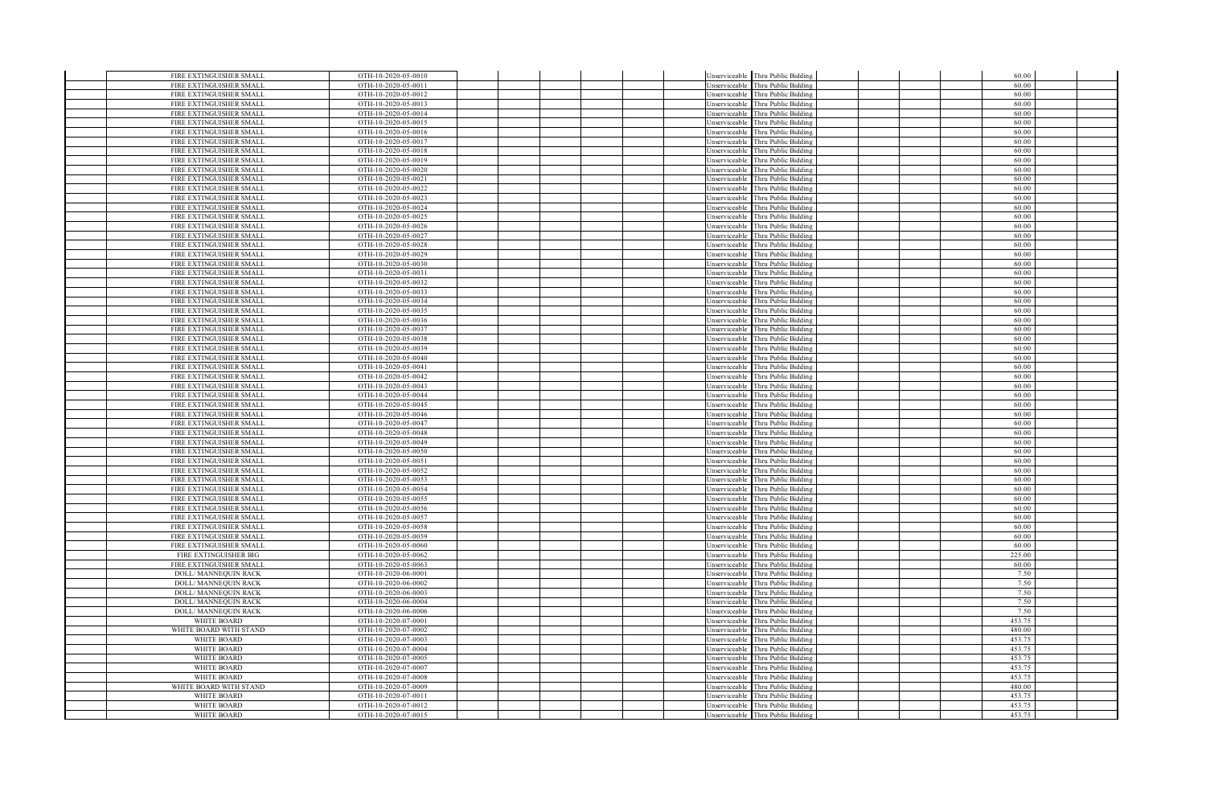| FIRE EXTINGUISHER SMALL     | OTH-10-2020-05-0010 |  |  |               | Unserviceable Thru Public Bidding |  | 60.00  |  |
|-----------------------------|---------------------|--|--|---------------|-----------------------------------|--|--------|--|
| FIRE EXTINGUISHER SMALL     | OTH-10-2020-05-0011 |  |  |               | Unserviceable Thru Public Bidding |  | 60.00  |  |
| FIRE EXTINGUISHER SMALL     | OTH-10-2020-05-0012 |  |  | Unserviceable | Thru Public Bidding               |  | 60.00  |  |
| FIRE EXTINGUISHER SMALL     | OTH-10-2020-05-0013 |  |  | Unserviceable | hru Public Bidding                |  | 60.00  |  |
| FIRE EXTINGUISHER SMALL     | OTH-10-2020-05-0014 |  |  | Unserviceable | Thru Public Bidding               |  | 60.00  |  |
| FIRE EXTINGUISHER SMALL     | OTH-10-2020-05-0015 |  |  |               | Unserviceable Thru Public Bidding |  | 60.00  |  |
| FIRE EXTINGUISHER SMALL     | OTH-10-2020-05-0016 |  |  |               |                                   |  | 60.00  |  |
|                             |                     |  |  | Unserviceable | Thru Public Bidding               |  |        |  |
| FIRE EXTINGUISHER SMALL     | OTH-10-2020-05-0017 |  |  | Jnserviceable | Thru Public Bidding               |  | 60.00  |  |
| FIRE EXTINGUISHER SMALL     | OTH-10-2020-05-0018 |  |  | Unserviceable | <b>Thru Public Bidding</b>        |  | 60.00  |  |
| FIRE EXTINGUISHER SMALL     | OTH-10-2020-05-0019 |  |  | Unserviceable | <b>Thru Public Bidding</b>        |  | 60.00  |  |
| FIRE EXTINGUISHER SMALL     | OTH-10-2020-05-0020 |  |  | Unserviceable | Thru Public Bidding               |  | 60.00  |  |
| FIRE EXTINGUISHER SMALL     | OTH-10-2020-05-0021 |  |  |               | Unserviceable Thru Public Bidding |  | 60.00  |  |
| FIRE EXTINGUISHER SMALL     | OTH-10-2020-05-0022 |  |  | Unserviceable | Thru Public Bidding               |  | 60.00  |  |
|                             |                     |  |  |               |                                   |  |        |  |
| FIRE EXTINGUISHER SMALL     | OTH-10-2020-05-0023 |  |  | Jnserviceable | Thru Public Biddins               |  | 60.00  |  |
| FIRE EXTINGUISHER SMALL     | OTH-10-2020-05-0024 |  |  | Unserviceable | Thru Public Bidding               |  | 60.00  |  |
| FIRE EXTINGUISHER SMALL     | OTH-10-2020-05-0025 |  |  | Unserviceable | Thru Public Biddins               |  | 60.00  |  |
| FIRE EXTINGUISHER SMALL     | OTH-10-2020-05-0026 |  |  | Unserviceable | Thru Public Bidding               |  | 60.00  |  |
| FIRE EXTINGUISHER SMALL     | OTH-10-2020-05-0027 |  |  |               | Unserviceable Thru Public Bidding |  | 60.00  |  |
| FIRE EXTINGUISHER SMALL     | OTH-10-2020-05-0028 |  |  |               | Unserviceable Thru Public Bidding |  | 60.00  |  |
| FIRE EXTINGUISHER SMALL     | OTH-10-2020-05-0029 |  |  | Unserviceable | Thru Public Bidding               |  | 60.00  |  |
|                             |                     |  |  |               |                                   |  |        |  |
| FIRE EXTINGUISHER SMALL     | OTH-10-2020-05-0030 |  |  | Unserviceable | Thru Public Bidding               |  | 60.00  |  |
| FIRE EXTINGUISHER SMALL     | OTH-10-2020-05-0031 |  |  | Unserviceable | Thru Public Bidding               |  | 60.00  |  |
| FIRE EXTINGUISHER SMALL     | OTH-10-2020-05-0032 |  |  | Unserviceable | Thru Public Bidding               |  | 60.00  |  |
| FIRE EXTINGUISHER SMALL     | OTH-10-2020-05-0033 |  |  |               | Unserviceable Thru Public Bidding |  | 60.00  |  |
| FIRE EXTINGUISHER SMALL     | OTH-10-2020-05-0034 |  |  | Unserviceable | Thru Public Bidding               |  | 60.00  |  |
| FIRE EXTINGUISHER SMALL     | OTH-10-2020-05-0035 |  |  | Unserviceable | Thru Public Bidding               |  | 60.00  |  |
| FIRE EXTINGUISHER SMALL     | OTH-10-2020-05-0036 |  |  | Jnserviceable | Thru Public Bidding               |  | 60.00  |  |
| FIRE EXTINGUISHER SMALL     | OTH-10-2020-05-0037 |  |  | Unserviceable | Thru Public Bidding               |  | 60.00  |  |
| FIRE EXTINGUISHER SMALL     | OTH-10-2020-05-0038 |  |  | Inserviceable | hru Public Bidding                |  | 60.00  |  |
| FIRE EXTINGUISHER SMALL     | OTH-10-2020-05-0039 |  |  |               | Unserviceable Thru Public Bidding |  | 60.00  |  |
|                             |                     |  |  |               |                                   |  |        |  |
| FIRE EXTINGUISHER SMALL     | OTH-10-2020-05-0040 |  |  |               | Unserviceable Thru Public Bidding |  | 60.00  |  |
| FIRE EXTINGUISHER SMALL     | OTH-10-2020-05-0041 |  |  | Jnserviceable | Thru Public Bidding               |  | 60.00  |  |
| FIRE EXTINGUISHER SMALL     | OTH-10-2020-05-0042 |  |  | Unserviceable | Thru Public Bidding               |  | 60.00  |  |
| FIRE EXTINGUISHER SMALL     | OTH-10-2020-05-0043 |  |  | Unserviceable | Thru Public Bidding               |  | 60.00  |  |
| FIRE EXTINGUISHER SMALL     | OTH-10-2020-05-0044 |  |  | Unserviceable | Thru Public Bidding               |  | 60.00  |  |
| FIRE EXTINGUISHER SMALL     | OTH-10-2020-05-0045 |  |  |               | Unserviceable Thru Public Bidding |  | 60.00  |  |
| FIRE EXTINGUISHER SMALL     | OTH-10-2020-05-0046 |  |  |               | Unserviceable Thru Public Bidding |  | 60.00  |  |
| FIRE EXTINGUISHER SMALL     | OTH-10-2020-05-0047 |  |  | Unserviceable | Thru Public Bidding               |  | 60.00  |  |
| FIRE EXTINGUISHER SMALL     | OTH-10-2020-05-0048 |  |  | Unserviceable | Thru Public Bidding               |  | 60.00  |  |
| FIRE EXTINGUISHER SMALL     | OTH-10-2020-05-0049 |  |  | Unserviceable | Thru Public Bidding               |  | 60.00  |  |
|                             |                     |  |  |               |                                   |  |        |  |
| FIRE EXTINGUISHER SMALL     | OTH-10-2020-05-0050 |  |  | Unserviceable | hru Public Bidding                |  | 60.00  |  |
| FIRE EXTINGUISHER SMALL     | OTH-10-2020-05-0051 |  |  |               | Unserviceable Thru Public Bidding |  | 60.00  |  |
| FIRE EXTINGUISHER SMALL     | OTH-10-2020-05-0052 |  |  |               | Unserviceable Thru Public Bidding |  | 60.00  |  |
| FIRE EXTINGUISHER SMALL     | OTH-10-2020-05-0053 |  |  | Unserviceable | Thru Public Bidding               |  | 60.00  |  |
| FIRE EXTINGUISHER SMALL     | OTH-10-2020-05-0054 |  |  | Jnserviceable | hru Public Bidding                |  | 60.00  |  |
| FIRE EXTINGUISHER SMALL     | OTH-10-2020-05-0055 |  |  | Unserviceable | <b>Thru Public Bidding</b>        |  | 60.00  |  |
| FIRE EXTINGUISHER SMALL     | OTH-10-2020-05-0056 |  |  | Unserviceable | hru Public Bidding                |  | 60.00  |  |
| FIRE EXTINGUISHER SMALL     | OTH-10-2020-05-0057 |  |  | Unserviceable | Thru Public Bidding               |  | 60.00  |  |
|                             |                     |  |  |               |                                   |  | 60.00  |  |
| FIRE EXTINGUISHER SMALL     | OTH-10-2020-05-0058 |  |  |               | Unserviceable Thru Public Bidding |  |        |  |
| FIRE EXTINGUISHER SMALL     | OTH-10-2020-05-0059 |  |  | Unserviceable | Thru Public Bidding               |  | 60.00  |  |
| FIRE EXTINGUISHER SMALL     | OTH-10-2020-05-0060 |  |  | Unserviceable | hru Public Bidding                |  | 60.00  |  |
| FIRE EXTINGUISHER BIG       | OTH-10-2020-05-0062 |  |  | Unserviceable | Thru Public Bidding               |  | 225.00 |  |
| FIRE EXTINGUISHER SMALL     | OTH-10-2020-05-0063 |  |  | Unserviceable | hru Public Bidding                |  | 60.00  |  |
| <b>DOLL/ MANNEQUIN RACK</b> | OTH-10-2020-06-0001 |  |  |               | Unserviceable Thru Public Bidding |  | 7.50   |  |
| DOLL/ MANNEQUIN RACK        | OTH-10-2020-06-0002 |  |  |               | Unserviceable Thru Public Bidding |  | 7.50   |  |
| <b>DOLL/ MANNEQUIN RACK</b> | OTH-10-2020-06-0003 |  |  |               | Unserviceable Thru Public Bidding |  | 7.50   |  |
| DOLL/ MANNEQUIN RACK        | OTH-10-2020-06-0004 |  |  | Unserviceable | Thru Public Bidding               |  | 7.50   |  |
| DOLL/ MANNEQUIN RACK        | OTH-10-2020-06-0006 |  |  | Unserviceable | Thru Public Bidding               |  | 7.50   |  |
|                             |                     |  |  |               |                                   |  | 453.75 |  |
| WHITE BOARD                 | OTH-10-2020-07-0001 |  |  | Unserviceable | hru Public Bidding                |  |        |  |
| WHITE BOARD WITH STAND      | OTH-10-2020-07-0002 |  |  | Unserviceable | Thru Public Bidding               |  | 480.00 |  |
| WHITE BOARD                 | OTH-10-2020-07-0003 |  |  |               | Unserviceable Thru Public Bidding |  | 453.75 |  |
| <b>WHITE BOARD</b>          | OTH-10-2020-07-0004 |  |  |               | Unserviceable Thru Public Bidding |  | 453.75 |  |
| <b>WHITE BOARD</b>          | OTH-10-2020-07-0005 |  |  | Unserviceable | Thru Public Bidding               |  | 453.75 |  |
| WHITE BOARD                 | OTH-10-2020-07-0007 |  |  | Unserviceable | Thru Public Bidding               |  | 453.75 |  |
| <b>WHITE BOARD</b>          | OTH-10-2020-07-0008 |  |  | Unserviceable | <b>Thru Public Bidding</b>        |  | 453.75 |  |
| WHITE BOARD WITH STAND      | OTH-10-2020-07-0009 |  |  | Unserviceable | hru Public Bidding                |  | 480.00 |  |
| WHITE BOARD                 | OTH-10-2020-07-0011 |  |  |               | Unserviceable Thru Public Bidding |  | 453.75 |  |
| WHITE BOARD                 | OTH-10-2020-07-0012 |  |  |               | Unserviceable Thru Public Bidding |  | 453.75 |  |
| WHITE BOARD                 | OTH-10-2020-07-0015 |  |  |               | Unserviceable Thru Public Bidding |  | 453.75 |  |
|                             |                     |  |  |               |                                   |  |        |  |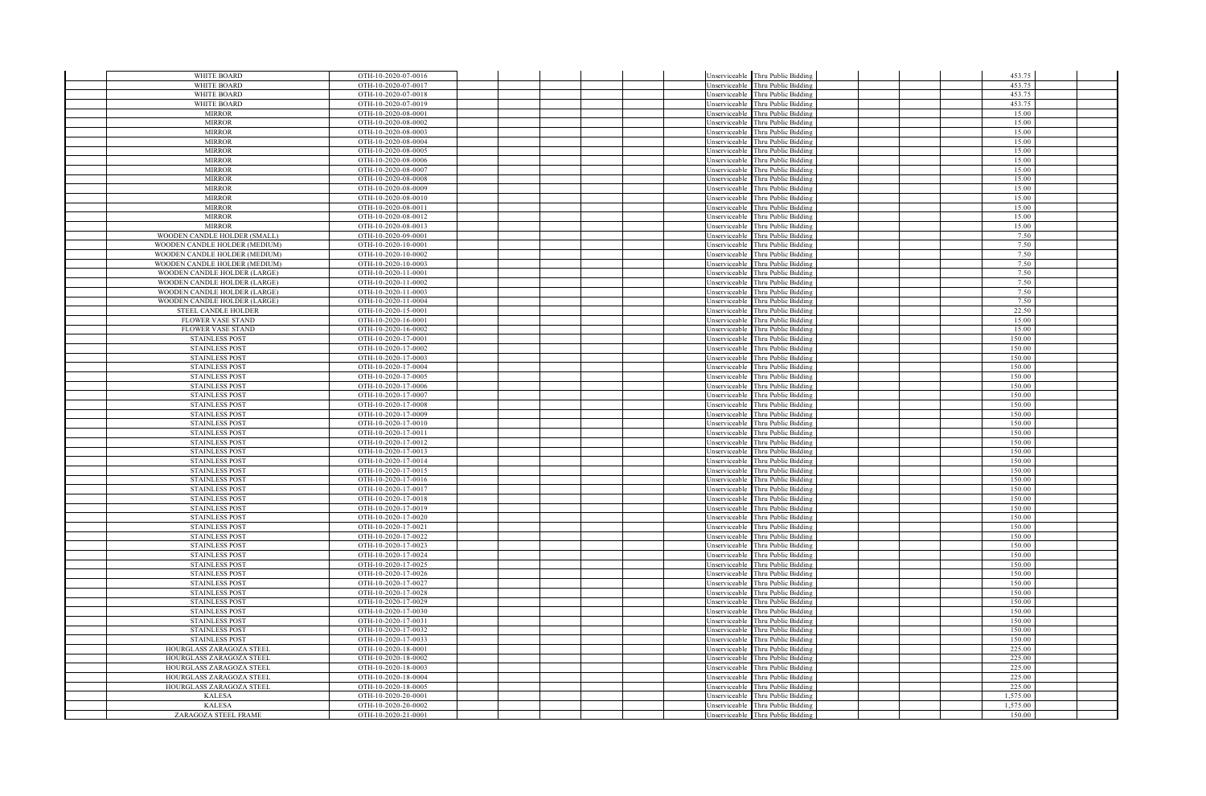| WHITE BOARD                                          | OTH-10-2020-07-0016                        |  |                                | Unserviceable Thru Public Bidding          |  | 453.75           |  |
|------------------------------------------------------|--------------------------------------------|--|--------------------------------|--------------------------------------------|--|------------------|--|
| WHITE BOARD                                          | OTH-10-2020-07-0017                        |  |                                | Jnserviceable Thru Public Bidding          |  | 453.75           |  |
| WHITE BOARD                                          | OTH-10-2020-07-0018                        |  | Jnserviceable                  | Thru Public Bidding                        |  | 453.75           |  |
| WHITE BOARD                                          | OTH-10-2020-07-0019                        |  |                                | Unserviceable Thru Public Bidding          |  | 453.75           |  |
| <b>MIRROR</b>                                        | OTH-10-2020-08-0001                        |  |                                | Jnserviceable Thru Public Bidding          |  | 15.00            |  |
| <b>MIRROR</b>                                        | OTH-10-2020-08-0002                        |  | Inserviceable                  | Thru Public Bidding                        |  | 15.00            |  |
| <b>MIRROR</b>                                        | OTH-10-2020-08-0003                        |  | Jnserviceable                  | Thru Public Bidding                        |  | 15.00            |  |
| <b>MIRROR</b>                                        | OTH-10-2020-08-0004                        |  | Jnserviceable                  | Thru Public Bidding                        |  | 15.00            |  |
| <b>MIRROR</b>                                        | OTH-10-2020-08-0005                        |  | Inserviceable                  | Thru Public Bidding                        |  | 15.00            |  |
| <b>MIRROR</b>                                        | OTH-10-2020-08-0006                        |  |                                | Unserviceable Thru Public Bidding          |  | 15.00            |  |
| <b>MIRROR</b><br><b>MIRROR</b>                       | OTH-10-2020-08-0007<br>OTH-10-2020-08-0008 |  | Jnserviceable<br>Jnserviceable | Thru Public Bidding<br>Thru Public Bidding |  | 15.00<br>15.00   |  |
| <b>MIRROR</b>                                        | OTH-10-2020-08-0009                        |  | Inserviceable                  | Thru Public Bidding                        |  | 15.00            |  |
| <b>MIRROR</b>                                        | OTH-10-2020-08-0010                        |  | Jnserviceable                  | Thru Public Bidding                        |  | 15.00            |  |
| <b>MIRROR</b>                                        | OTH-10-2020-08-0011                        |  | Inserviceable                  | Thru Public Bidding                        |  | 15.00            |  |
| <b>MIRROR</b>                                        | OTH-10-2020-08-0012                        |  | Jnserviceable                  | Thru Public Bidding                        |  | 15.00            |  |
| <b>MIRROR</b>                                        | OTH-10-2020-08-0013                        |  | Unserviceable                  | Thru Public Bidding                        |  | 15.00            |  |
| WOODEN CANDLE HOLDER (SMALL)                         | OTH-10-2020-09-0001                        |  | Inserviceable                  | Thru Public Bidding                        |  | 7.50             |  |
| WOODEN CANDLE HOLDER (MEDIUM)                        | OTH-10-2020-10-0001                        |  | Inserviceable                  | Thru Public Bidding                        |  | 7.50             |  |
| WOODEN CANDLE HOLDER (MEDIUM)                        | OTH-10-2020-10-0002                        |  | Jnserviceable                  | <b>Thru Public Bidding</b>                 |  | 7.50             |  |
| WOODEN CANDLE HOLDER (MEDIUM)                        | OTH-10-2020-10-0003                        |  | Jnserviceable                  | Thru Public Bidding                        |  | 7.50             |  |
| WOODEN CANDLE HOLDER (LARGE)                         | OTH-10-2020-11-0001                        |  | Jnserviceable                  | Thru Public Bidding                        |  | 7.50             |  |
| WOODEN CANDLE HOLDER (LARGE)                         | OTH-10-2020-11-0002                        |  | Jnserviceable                  | Thru Public Bidding                        |  | 7.50             |  |
| WOODEN CANDLE HOLDER (LARGE)                         | OTH-10-2020-11-0003<br>OTH-10-2020-11-0004 |  | Jnserviceable                  | Thru Public Bidding                        |  | 7.50<br>7.50     |  |
| WOODEN CANDLE HOLDER (LARGE)<br>STEEL CANDLE HOLDER  | OTH-10-2020-15-0001                        |  | Jnserviceable                  | Thru Public Bidding                        |  | 22.50            |  |
| <b>FLOWER VASE STAND</b>                             | OTH-10-2020-16-0001                        |  | Jnserviceable<br>Jnserviceable | Thru Public Bidding<br>Thru Public Bidding |  | 15.00            |  |
| <b>FLOWER VASE STAND</b>                             | OTH-10-2020-16-0002                        |  | Jnserviceable                  | Thru Public Bidding                        |  | 15.00            |  |
| <b>STAINLESS POST</b>                                | OTH-10-2020-17-0001                        |  |                                | Jnserviceable Thru Public Bidding          |  | 150.00           |  |
| <b>STAINLESS POST</b>                                | OTH-10-2020-17-0002                        |  | Jnserviceable                  | Thru Public Bidding                        |  | 150.00           |  |
| <b>STAINLESS POST</b>                                | OTH-10-2020-17-0003                        |  | Jnserviceable                  | Thru Public Bidding                        |  | 150.00           |  |
| <b>STAINLESS POST</b>                                | OTH-10-2020-17-0004                        |  | Jnserviceable                  | Thru Public Bidding                        |  | 150.00           |  |
| <b>STAINLESS POST</b>                                | OTH-10-2020-17-0005                        |  | Jnserviceable                  | Thru Public Bidding                        |  | 150.00           |  |
| <b>STAINLESS POST</b>                                | OTH-10-2020-17-0006                        |  | Inserviceable                  | Thru Public Bidding                        |  | 150.00           |  |
| <b>STAINLESS POST</b>                                | OTH-10-2020-17-0007                        |  | Jnserviceable                  | Thru Public Bidding                        |  | 150.00           |  |
| <b>STAINLESS POST</b>                                | OTH-10-2020-17-0008                        |  | Jnserviceable                  | Thru Public Bidding                        |  | 150.00           |  |
| <b>STAINLESS POST</b>                                | OTH-10-2020-17-0009                        |  | Inserviceable                  | Thru Public Bidding                        |  | 150.00           |  |
| <b>STAINLESS POST</b>                                | OTH-10-2020-17-0010<br>OTH-10-2020-17-0011 |  | Jnserviceable                  | Thru Public Bidding<br>Thru Public Bidding |  | 150.00<br>150.00 |  |
| <b>STAINLESS POST</b><br><b>STAINLESS POST</b>       | OTH-10-2020-17-0012                        |  | Jnserviceable<br>Jnserviceable | Thru Public Bidding                        |  | 150.00           |  |
| <b>STAINLESS POST</b>                                | OTH-10-2020-17-0013                        |  | Jnserviceable                  | Thru Public Bidding                        |  | 150.00           |  |
| <b>STAINLESS POST</b>                                | OTH-10-2020-17-0014                        |  | Jnserviceable                  | Thru Public Bidding                        |  | 150.00           |  |
| <b>STAINLESS POST</b>                                | OTH-10-2020-17-0015                        |  | Inserviceable                  | Thru Public Bidding                        |  | 150.00           |  |
| <b>STAINLESS POST</b>                                | OTH-10-2020-17-0016                        |  | Inserviceable                  | Thru Public Bidding                        |  | 150.00           |  |
| <b>STAINLESS POST</b>                                | OTH-10-2020-17-0017                        |  | Jnserviceable                  | Thru Public Bidding                        |  | 150.00           |  |
| <b>STAINLESS POST</b>                                | OTH-10-2020-17-0018                        |  | Inserviceable                  | Thru Public Bidding                        |  | 150.00           |  |
| <b>STAINLESS POST</b>                                | OTH-10-2020-17-0019                        |  | Unserviceable                  | Thru Public Bidding                        |  | 150.00           |  |
| <b>STAINLESS POST</b>                                | OTH-10-2020-17-0020                        |  | Unserviceable                  | Thru Public Bidding                        |  | 150.00           |  |
| <b>STAINLESS POST</b>                                | OTH-10-2020-17-0021                        |  | Unserviceable                  | Thru Public Bidding                        |  | 150.00           |  |
| <b>STAINLESS POST</b>                                | OTH-10-2020-17-0022                        |  | Jnserviceable                  | Thru Public Bidding                        |  | 150.00           |  |
| <b>STAINLESS POST</b><br><b>STAINLESS POST</b>       | OTH-10-2020-17-0023<br>OTH-10-2020-17-0024 |  | Inserviceable<br>Jnserviceable | Thru Public Bidding<br>Thru Public Bidding |  | 150.00<br>150.00 |  |
| <b>STAINLESS POST</b>                                | OTH-10-2020-17-0025                        |  | Jnserviceable                  | Thru Public Bidding                        |  | 150.00           |  |
| <b>STAINLESS POST</b>                                | OTH-10-2020-17-0026                        |  | Jnserviceable                  | Thru Public Bidding                        |  | 150.00           |  |
| <b>STAINLESS POST</b>                                | OTH-10-2020-17-0027                        |  | Jnserviceable                  | Thru Public Bidding                        |  | 150.00           |  |
| <b>STAINLESS POST</b>                                | OTH-10-2020-17-0028                        |  | Inserviceable                  | Thru Public Bidding                        |  | 150.00           |  |
| <b>STAINLESS POST</b>                                | OTH-10-2020-17-0029                        |  | Jnserviceable                  | Thru Public Bidding                        |  | 150.00           |  |
| <b>STAINLESS POST</b>                                | OTH-10-2020-17-0030                        |  | Jnserviceable                  | Thru Public Bidding                        |  | 150.00           |  |
| <b>STAINLESS POST</b>                                | OTH-10-2020-17-0031                        |  | Jnserviceable                  | Thru Public Bidding                        |  | 150.00           |  |
| <b>STAINLESS POST</b>                                | OTH-10-2020-17-0032                        |  | Jnserviceable                  | Thru Public Bidding                        |  | 150.00           |  |
| <b>STAINLESS POST</b>                                | OTH-10-2020-17-0033                        |  | Jnserviceable                  | Thru Public Bidding                        |  | 150.00           |  |
| HOURGLASS ZARAGOZA STEEL                             | OTH-10-2020-18-0001                        |  | Inserviceable                  | Thru Public Bidding                        |  | 225.00           |  |
| HOURGLASS ZARAGOZA STEEL                             | OTH-10-2020-18-0002                        |  | Jnserviceable                  | Thru Public Bidding                        |  | 225.00           |  |
| HOURGLASS ZARAGOZA STEEL<br>HOURGLASS ZARAGOZA STEEL | OTH-10-2020-18-0003<br>OTH-10-2020-18-0004 |  | Jnserviceable<br>Inserviceable | Thru Public Bidding<br>Thru Public Bidding |  | 225.00<br>225.00 |  |
| HOURGLASS ZARAGOZA STEEL                             | OTH-10-2020-18-0005                        |  |                                | Jnserviceable Thru Public Bidding          |  | 225.00           |  |
| <b>KALESA</b>                                        | OTH-10-2020-20-0001                        |  | Jnserviceable                  | Thru Public Bidding                        |  | 1,575.00         |  |
| <b>KALESA</b>                                        | OTH-10-2020-20-0002                        |  |                                | Unserviceable Thru Public Bidding          |  | 1,575.00         |  |
| ZARAGOZA STEEL FRAME                                 | OTH-10-2020-21-0001                        |  |                                | Unserviceable Thru Public Bidding          |  | 150.00           |  |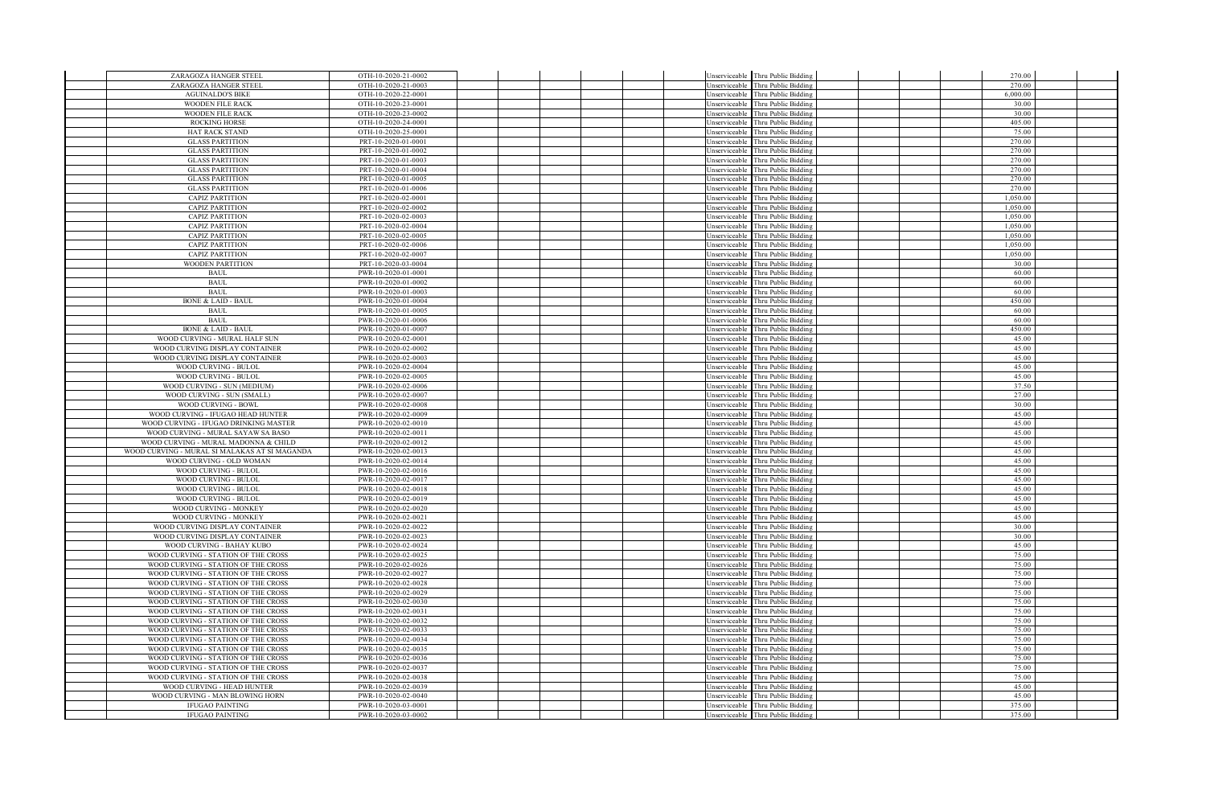| ZARAGOZA HANGER STEEL                                     | OTH-10-2020-21-0002                        |  |  |                                | Unserviceable Thru Public Bidding                                      |  | 270.00               |  |
|-----------------------------------------------------------|--------------------------------------------|--|--|--------------------------------|------------------------------------------------------------------------|--|----------------------|--|
| ZARAGOZA HANGER STEEL                                     | OTH-10-2020-21-0003                        |  |  | Unserviceable                  | Thru Public Bidding                                                    |  | 270.00               |  |
| <b>AGUINALDO'S BIKE</b>                                   | OTH-10-2020-22-0001                        |  |  | Unserviceable                  | Thru Public Bidding                                                    |  | 6,000.00             |  |
| <b>WOODEN FILE RACK</b>                                   | OTH-10-2020-23-0001                        |  |  |                                | Unserviceable Thru Public Bidding                                      |  | 30.00                |  |
| <b>WOODEN FILE RACK</b>                                   | OTH-10-2020-23-0002                        |  |  |                                | Unserviceable Thru Public Bidding                                      |  | 30.00                |  |
| <b>ROCKING HORSE</b>                                      | OTH-10-2020-24-0001                        |  |  | Unserviceable                  | Thru Public Bidding                                                    |  | 405.00               |  |
| HAT RACK STAND                                            | OTH-10-2020-25-0001                        |  |  | Unserviceable                  | Thru Public Bidding                                                    |  | 75.00                |  |
| <b>GLASS PARTITION</b>                                    | PRT-10-2020-01-0001                        |  |  | Unserviceable                  | hru Public Biddins                                                     |  | 270.00               |  |
| <b>GLASS PARTITION</b>                                    | PRT-10-2020-01-0002                        |  |  | Unserviceable                  | Thru Public Bidding                                                    |  | 270.00               |  |
| <b>GLASS PARTITION</b>                                    | PRT-10-2020-01-0003                        |  |  |                                | Unserviceable Thru Public Bidding                                      |  | 270.00               |  |
| <b>GLASS PARTITION</b>                                    | PRT-10-2020-01-0004                        |  |  |                                | Unserviceable Thru Public Bidding                                      |  | 270.00               |  |
| <b>GLASS PARTITION</b>                                    | PRT-10-2020-01-0005                        |  |  | Unserviceable                  | Thru Public Bidding                                                    |  | 270.00               |  |
| <b>GLASS PARTITION</b>                                    | PRT-10-2020-01-0006                        |  |  | Jnserviceable                  | Thru Public Bidding                                                    |  | 270.00               |  |
| <b>CAPIZ PARTITION</b>                                    | PRT-10-2020-02-0001                        |  |  | Unserviceable                  | Thru Public Bidding                                                    |  | 1,050.00             |  |
| <b>CAPIZ PARTITION</b>                                    | PRT-10-2020-02-0002                        |  |  | Unserviceable                  | hru Public Bidding                                                     |  | 1,050.00<br>1.050.00 |  |
| <b>CAPIZ PARTITION</b>                                    | PRT-10-2020-02-0003                        |  |  | Unserviceable                  | Thru Public Bidding                                                    |  |                      |  |
| <b>CAPIZ PARTITION</b><br><b>CAPIZ PARTITION</b>          | PRT-10-2020-02-0004<br>PRT-10-2020-02-0005 |  |  | Jnserviceable                  | Unserviceable Thru Public Bidding<br>Thru Public Bidding               |  | 1,050.00<br>1.050.00 |  |
| <b>CAPIZ PARTITION</b>                                    | PRT-10-2020-02-0006                        |  |  |                                | hru Public Bidding                                                     |  | 1.050.00             |  |
| <b>CAPIZ PARTITION</b>                                    | PRT-10-2020-02-0007                        |  |  | Unserviceable<br>Unserviceable | <b>Thru Public Bidding</b>                                             |  | 1,050.00             |  |
| <b>WOODEN PARTITION</b>                                   | PRT-10-2020-03-0004                        |  |  | Unserviceable                  | hru Public Bidding <sup>1</sup>                                        |  | 30.00                |  |
| <b>BAUL</b>                                               | PWR-10-2020-01-0001                        |  |  | Unserviceable                  | Thru Public Bidding                                                    |  | 60.00                |  |
| <b>BAUL</b>                                               | PWR-10-2020-01-0002                        |  |  |                                | Unserviceable Thru Public Bidding                                      |  | 60.00                |  |
| <b>BAUL</b>                                               | PWR-10-2020-01-0003                        |  |  | Unserviceable                  | Thru Public Bidding                                                    |  | 60.00                |  |
| <b>BONE &amp; LAID - BAUL</b>                             | PWR-10-2020-01-0004                        |  |  | Unserviceable                  | Thru Public Bidding                                                    |  | 450.00               |  |
| <b>BAUL</b>                                               | PWR-10-2020-01-0005                        |  |  | Unserviceable                  | Thru Public Bidding                                                    |  | 60.00                |  |
| <b>BAUL</b>                                               | PWR-10-2020-01-0006                        |  |  | Unserviceable                  | Thru Public Bidding                                                    |  | 60.00                |  |
| <b>BONE &amp; LAID - BAUL</b>                             | PWR-10-2020-01-0007                        |  |  | Unserviceable                  | hru Public Bidding                                                     |  | 450.00               |  |
| WOOD CURVING - MURAL HALF SUN                             | PWR-10-2020-02-0001                        |  |  |                                | Unserviceable Thru Public Bidding                                      |  | 45.00                |  |
| WOOD CURVING DISPLAY CONTAINER                            | PWR-10-2020-02-0002                        |  |  | Jnserviceable                  | Thru Public Bidding                                                    |  | 45.00                |  |
| WOOD CURVING DISPLAY CONTAINER                            | PWR-10-2020-02-0003                        |  |  | Unserviceable                  | Thru Public Bidding                                                    |  | 45.00                |  |
| WOOD CURVING - BULOL                                      | PWR-10-2020-02-0004                        |  |  | Unserviceable                  | hru Public Bidding                                                     |  | 45.00                |  |
| WOOD CURVING - BULOL                                      | PWR-10-2020-02-0005                        |  |  | Unserviceable                  | hru Public Biddins                                                     |  | 45.00                |  |
| WOOD CURVING - SUN (MEDIUM)                               | PWR-10-2020-02-0006                        |  |  | Unserviceable                  | Thru Public Bidding                                                    |  | 37.50                |  |
| WOOD CURVING - SUN (SMALL)                                | PWR-10-2020-02-0007                        |  |  | Unserviceable                  | Thru Public Bidding                                                    |  | 27.00                |  |
| WOOD CURVING - BOWL                                       | PWR-10-2020-02-0008                        |  |  | Unserviceable                  | Thru Public Bidding                                                    |  | 30.00                |  |
| WOOD CURVING - IFUGAO HEAD HUNTER                         | PWR-10-2020-02-0009                        |  |  | Unserviceable                  | Thru Public Bidding                                                    |  | 45.00                |  |
| WOOD CURVING - IFUGAO DRINKING MASTER                     | PWR-10-2020-02-0010                        |  |  | Unserviceable                  | Thru Public Bidding                                                    |  | 45.00                |  |
| WOOD CURVING - MURAL SAYAW SA BASO                        | PWR-10-2020-02-0011                        |  |  | Unserviceable                  | hru Public Bidding                                                     |  | 45.00                |  |
| WOOD CURVING - MURAL MADONNA & CHILD                      | PWR-10-2020-02-0012                        |  |  | Unserviceable                  | hru Public Bidding                                                     |  | 45.00                |  |
| WOOD CURVING - MURAL SI MALAKAS AT SI MAGANDA             | PWR-10-2020-02-0013                        |  |  | Unserviceable                  | Thru Public Bidding                                                    |  | 45.00                |  |
| WOOD CURVING - OLD WOMAN<br>WOOD CURVING - BULOL          | PWR-10-2020-02-0014                        |  |  |                                | Unserviceable Thru Public Bidding                                      |  | 45.00                |  |
| WOOD CURVING - BULOL                                      | PWR-10-2020-02-0016                        |  |  | Inserviceable                  | Thru Public Bidding                                                    |  | 45.00<br>45.00       |  |
| WOOD CURVING - BULOL                                      | PWR-10-2020-02-0017<br>PWR-10-2020-02-0018 |  |  | Unserviceable<br>Unserviceable | Thru Public Bidding<br><b>Thru Public Bidding</b>                      |  | 45.00                |  |
| WOOD CURVING - BULOL                                      | PWR-10-2020-02-0019                        |  |  | <b>Inserviceable</b>           | Thru Public Bidding                                                    |  | 45.00                |  |
| WOOD CURVING - MONKEY                                     | PWR-10-2020-02-0020                        |  |  |                                | Unserviceable Thru Public Bidding                                      |  | 45.00                |  |
| WOOD CURVING - MONKEY                                     | PWR-10-2020-02-0021                        |  |  |                                | Unserviceable Thru Public Bidding                                      |  | 45.00                |  |
| WOOD CURVING DISPLAY CONTAINER                            | PWR-10-2020-02-0022                        |  |  | Unserviceable                  | Thru Public Bidding                                                    |  | 30.00                |  |
| WOOD CURVING DISPLAY CONTAINER                            | PWR-10-2020-02-0023                        |  |  | Jnserviceable                  | hru Public Bidding                                                     |  | 30.00                |  |
| WOOD CURVING - BAHAY KUBO                                 | PWR-10-2020-02-0024                        |  |  | <b>Inserviceable</b>           | hru Public Bidding                                                     |  | 45.00                |  |
| WOOD CURVING - STATION OF THE CROSS                       | PWR-10-2020-02-0025                        |  |  | Unserviceable                  | hru Public Bidding                                                     |  | 75.00                |  |
| WOOD CURVING - STATION OF THE CROSS                       | PWR-10-2020-02-0026                        |  |  | Unserviceable                  | hru Public Bidding                                                     |  | 75.00                |  |
| WOOD CURVING - STATION OF THE CROSS                       | PWR-10-2020-02-0027                        |  |  | Unserviceable                  | Thru Public Bidding                                                    |  | 75.00                |  |
| WOOD CURVING - STATION OF THE CROSS                       | PWR-10-2020-02-0028                        |  |  | Jnserviceable                  | Thru Public Bidding                                                    |  | 75.00                |  |
| WOOD CURVING - STATION OF THE CROSS                       | PWR-10-2020-02-0029                        |  |  | Unserviceable                  | hru Public Bidding                                                     |  | 75.00                |  |
| WOOD CURVING - STATION OF THE CROSS                       | PWR-10-2020-02-0030                        |  |  | Unserviceable                  | hru Public Bidding <sup>1</sup>                                        |  | 75.00                |  |
| WOOD CURVING - STATION OF THE CROSS                       | PWR-10-2020-02-0031                        |  |  | Unserviceable                  | hru Public Bidding <sup>1</sup>                                        |  | 75.00                |  |
| WOOD CURVING - STATION OF THE CROSS                       | PWR-10-2020-02-0032                        |  |  | Unserviceable                  | Thru Public Bidding                                                    |  | 75.00                |  |
| WOOD CURVING - STATION OF THE CROSS                       | PWR-10-2020-02-0033                        |  |  | Unserviceable                  | Thru Public Bidding                                                    |  | 75.00                |  |
| WOOD CURVING - STATION OF THE CROSS                       | PWR-10-2020-02-0034                        |  |  | Unserviceable                  | Thru Public Bidding                                                    |  | 75.00                |  |
| WOOD CURVING - STATION OF THE CROSS                       | PWR-10-2020-02-0035                        |  |  | Unserviceable                  | Thru Public Bidding                                                    |  | 75.00                |  |
| WOOD CURVING - STATION OF THE CROSS                       | PWR-10-2020-02-0036                        |  |  | Jnserviceable                  | Thru Public Bidding                                                    |  | 75.00                |  |
| WOOD CURVING - STATION OF THE CROSS                       | PWR-10-2020-02-0037                        |  |  | Jnserviceable                  | Thru Public Bidding                                                    |  | 75.00                |  |
| WOOD CURVING - STATION OF THE CROSS                       | PWR-10-2020-02-0038                        |  |  | Inserviceable                  | Thru Public Bidding                                                    |  | 75.00<br>45.00       |  |
| WOOD CURVING - HEAD HUNTER                                | PWR-10-2020-02-0039<br>PWR-10-2020-02-0040 |  |  |                                | Unserviceable Thru Public Bidding                                      |  | 45.00                |  |
| WOOD CURVING - MAN BLOWING HORN<br><b>IFUGAO PAINTING</b> | PWR-10-2020-03-0001                        |  |  |                                | Unserviceable Thru Public Bidding<br>Unserviceable Thru Public Bidding |  | 375.00               |  |
| <b>IFUGAO PAINTING</b>                                    | PWR-10-2020-03-0002                        |  |  |                                | Unserviceable Thru Public Bidding                                      |  | 375.00               |  |
|                                                           |                                            |  |  |                                |                                                                        |  |                      |  |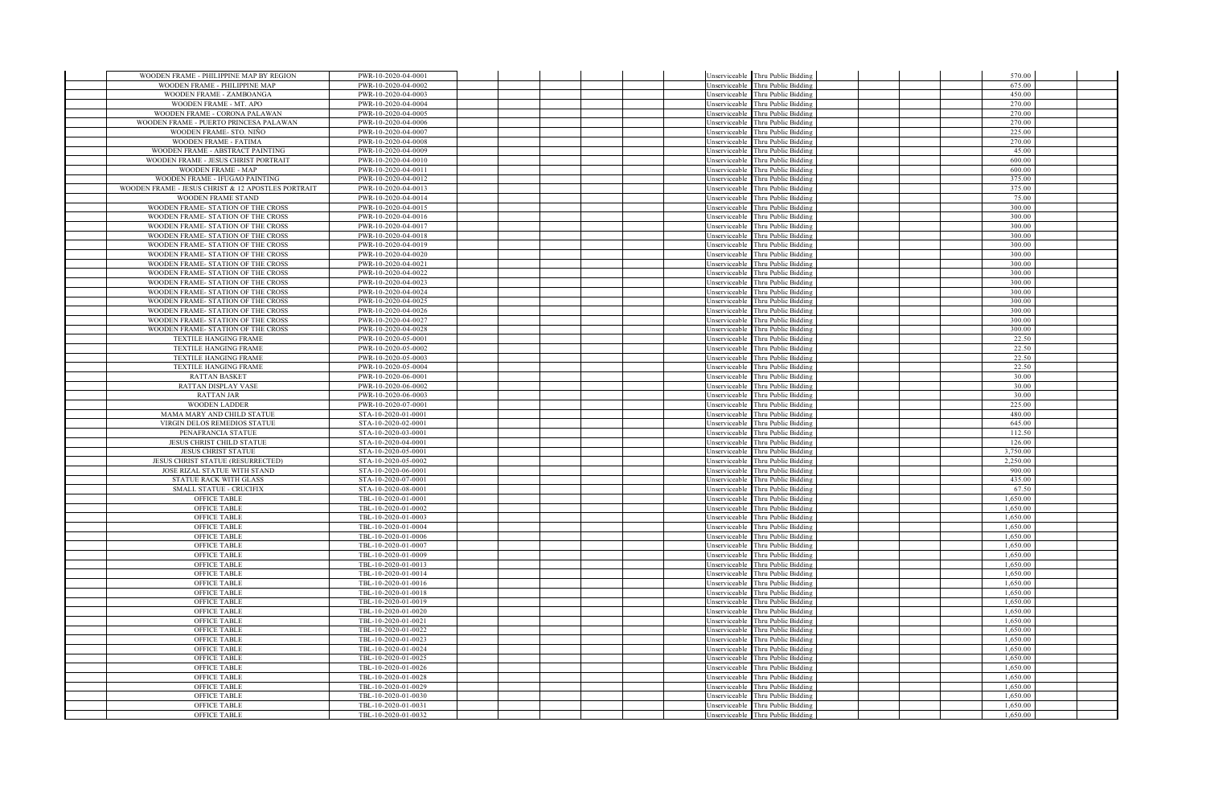| WOODEN FRAME - PHILIPPINE MAP BY REGION                                  | PWR-10-2020-04-0001                        |  | Unserviceable Thru Public Bidding                                                   |  | 570.00               |  |
|--------------------------------------------------------------------------|--------------------------------------------|--|-------------------------------------------------------------------------------------|--|----------------------|--|
| WOODEN FRAME - PHILIPPINE MAP                                            | PWR-10-2020-04-0002                        |  | Thru Public Bidding<br><b>Inserviceable</b>                                         |  | 675.00               |  |
| WOODEN FRAME - ZAMBOANGA                                                 | PWR-10-2020-04-0003                        |  | Thru Public Bidding<br><b>Inserviceable</b>                                         |  | 450.00               |  |
| WOODEN FRAME - MT. APO                                                   | PWR-10-2020-04-0004                        |  | Unserviceable Thru Public Bidding                                                   |  | 270.00               |  |
| WOODEN FRAME - CORONA PALAWAN                                            | PWR-10-2020-04-0005                        |  | Unserviceable Thru Public Bidding                                                   |  | 270.00               |  |
| WOODEN FRAME - PUERTO PRINCESA PALAWAN                                   | PWR-10-2020-04-0006                        |  | Thru Public Bidding<br><b>Inserviceable</b>                                         |  | 270.00               |  |
| WOODEN FRAME- STO. NIÑO                                                  | PWR-10-2020-04-0007                        |  | Thru Public Bidding<br>Unserviceable                                                |  | 225.00               |  |
| WOODEN FRAME - FATIMA                                                    | PWR-10-2020-04-0008                        |  | Thru Public Bidding<br>Unserviceable                                                |  | 270.00               |  |
| WOODEN FRAME - ABSTRACT PAINTING                                         | PWR-10-2020-04-0009                        |  | Thru Public Bidding<br>Unserviceable                                                |  | 45.00                |  |
| WOODEN FRAME - JESUS CHRIST PORTRAIT                                     | PWR-10-2020-04-0010                        |  | Thru Public Bidding<br>Unserviceable                                                |  | 600.00               |  |
| WOODEN FRAME - MAP                                                       | PWR-10-2020-04-0011                        |  | Thru Public Bidding<br>Unserviceable                                                |  | 600.00               |  |
| WOODEN FRAME - IFUGAO PAINTING                                           | PWR-10-2020-04-0012                        |  | Unserviceable<br>Thru Public Bidding                                                |  | 375.00               |  |
| WOODEN FRAME - JESUS CHRIST & 12 APOSTLES PORTRAIT                       | PWR-10-2020-04-0013                        |  | Thru Public Bidding<br>Jnserviceable                                                |  | 375.00               |  |
| WOODEN FRAME STAND                                                       | PWR-10-2020-04-0014                        |  | Thru Public Bidding<br>Jnserviceable                                                |  | 75.00                |  |
| WOODEN FRAME- STATION OF THE CROSS                                       | PWR-10-2020-04-0015                        |  | Thru Public Bidding<br>Inserviceable                                                |  | 300.00               |  |
| WOODEN FRAME- STATION OF THE CROSS                                       | PWR-10-2020-04-0016                        |  | Thru Public Bidding<br>Jnserviceable                                                |  | 300.00               |  |
| WOODEN FRAME- STATION OF THE CROSS                                       | PWR-10-2020-04-0017                        |  | Unserviceable<br>Thru Public Bidding                                                |  | 300.00               |  |
| WOODEN FRAME- STATION OF THE CROSS                                       | PWR-10-2020-04-0018                        |  | Thru Public Biddins<br>Inserviceable                                                |  | 300.00               |  |
| WOODEN FRAME- STATION OF THE CROSS                                       | PWR-10-2020-04-0019                        |  | Thru Public Bidding<br>Jnserviceable                                                |  | 300.00               |  |
| WOODEN FRAME- STATION OF THE CROSS                                       | PWR-10-2020-04-0020                        |  | <b>Thru Public Bidding</b><br>Jnserviceable                                         |  | 300.00               |  |
| WOODEN FRAME- STATION OF THE CROSS                                       | PWR-10-2020-04-0021                        |  | Jnserviceable<br>Thru Public Bidding                                                |  | 300.00               |  |
| WOODEN FRAME- STATION OF THE CROSS                                       | PWR-10-2020-04-0022                        |  | Thru Public Bidding<br>Unserviceable                                                |  | 300.00               |  |
| WOODEN FRAME- STATION OF THE CROSS                                       | PWR-10-2020-04-0023                        |  | Unserviceable<br>Thru Public Bidding                                                |  | 300.00               |  |
| WOODEN FRAME- STATION OF THE CROSS                                       | PWR-10-2020-04-0024                        |  | Unserviceable<br>Thru Public Bidding                                                |  | 300.00<br>300.00     |  |
| WOODEN FRAME- STATION OF THE CROSS                                       | PWR-10-2020-04-0025                        |  | Thru Public Bidding<br>Jnserviceable                                                |  | 300.00               |  |
| WOODEN FRAME- STATION OF THE CROSS<br>WOODEN FRAME- STATION OF THE CROSS | PWR-10-2020-04-0026<br>PWR-10-2020-04-0027 |  | Unserviceable<br>Thru Public Bidding<br>Jnserviceable<br>Thru Public Bidding        |  | 300.00               |  |
| WOODEN FRAME- STATION OF THE CROSS                                       | PWR-10-2020-04-0028                        |  |                                                                                     |  | 300.00               |  |
| TEXTILE HANGING FRAME                                                    | PWR-10-2020-05-0001                        |  | Thru Public Bidding<br>Jnserviceable<br>Unserviceable Thru Public Bidding           |  | 22.50                |  |
| <b>TEXTILE HANGING FRAME</b>                                             | PWR-10-2020-05-0002                        |  | Thru Public Bidding<br>Unserviceable                                                |  | 22.50                |  |
| TEXTILE HANGING FRAME                                                    | PWR-10-2020-05-0003                        |  | Thru Public Bidding<br>Unserviceable                                                |  | 22.50                |  |
| TEXTILE HANGING FRAME                                                    | PWR-10-2020-05-0004                        |  | Thru Public Bidding<br>Unserviceable                                                |  | 22.50                |  |
| <b>RATTAN BASKET</b>                                                     | PWR-10-2020-06-0001                        |  | Thru Public Bidding<br>Unserviceable                                                |  | 30.00                |  |
| <b>RATTAN DISPLAY VASE</b>                                               | PWR-10-2020-06-0002                        |  | Thru Public Bidding<br>Unserviceable                                                |  | 30.00                |  |
| RATTAN JAR                                                               | PWR-10-2020-06-0003                        |  | Thru Public Bidding<br>Unserviceable                                                |  | 30.00                |  |
| <b>WOODEN LADDER</b>                                                     | PWR-10-2020-07-0001                        |  | Thru Public Bidding<br>Unserviceable                                                |  | 225.00               |  |
| MAMA MARY AND CHILD STATUE                                               | STA-10-2020-01-0001                        |  | Thru Public Bidding<br>Jnserviceable                                                |  | 480.00               |  |
| VIRGIN DELOS REMEDIOS STATUE                                             | STA-10-2020-02-0001                        |  | Thru Public Bidding<br>Jnserviceable                                                |  | 645.00               |  |
| PENAFRANCIA STATUE                                                       | STA-10-2020-03-0001                        |  | Thru Public Bidding<br>Jnserviceable                                                |  | 112.50               |  |
| JESUS CHRIST CHILD STATUE                                                | STA-10-2020-04-0001                        |  | Thru Public Bidding<br><b>Inserviceable</b>                                         |  | 126.00               |  |
| JESUS CHRIST STATUE                                                      | STA-10-2020-05-0001                        |  | Thru Public Bidding<br>Unserviceable                                                |  | 3.750.00             |  |
| JESUS CHRIST STATUE (RESURRECTED)                                        | STA-10-2020-05-0002                        |  | Thru Public Biddins<br>Unserviceable                                                |  | 2.250.00             |  |
| <b>JOSE RIZAL STATUE WITH STAND</b>                                      | STA-10-2020-06-0001                        |  | Thru Public Bidding<br>Inserviceable                                                |  | 900.00               |  |
| STATUE RACK WITH GLASS                                                   | STA-10-2020-07-0001                        |  | Thru Public Bidding<br>Jnserviceable                                                |  | 435.00               |  |
| SMALL STATUE - CRUCIFIX                                                  | STA-10-2020-08-0001                        |  | Thru Public Bidding<br>Unserviceable                                                |  | 67.50                |  |
| <b>OFFICE TABLE</b>                                                      | TBL-10-2020-01-0001                        |  | Thru Public Bidding<br>Unserviceable                                                |  | 1,650.00             |  |
| <b>OFFICE TABLE</b>                                                      | TBL-10-2020-01-0002                        |  | Thru Public Bidding<br>Unserviceable                                                |  | 1,650.00             |  |
| <b>OFFICE TABLE</b>                                                      | TBL-10-2020-01-0003                        |  | Unserviceable<br>Thru Public Bidding                                                |  | 1,650.00             |  |
| <b>OFFICE TABLE</b>                                                      | TBL-10-2020-01-0004                        |  | Unserviceable<br>Thru Public Bidding                                                |  | 1,650.00             |  |
| <b>OFFICE TABLE</b>                                                      | TBL-10-2020-01-0006                        |  | Thru Public Bidding<br>Jnserviceable                                                |  | 1,650.00             |  |
| <b>OFFICE TABLE</b>                                                      | TBL-10-2020-01-0007                        |  | Thru Public Bidding<br>Jnserviceable                                                |  | 1,650.00             |  |
| <b>OFFICE TABLE</b>                                                      | TBL-10-2020-01-0009                        |  | Thru Public Bidding<br>Inserviceable                                                |  | 1,650.00             |  |
| <b>OFFICE TABLE</b>                                                      | TBL-10-2020-01-0013                        |  | Thru Public Bidding<br>Jnserviceable                                                |  | 1.650.00             |  |
| <b>OFFICE TABLE</b>                                                      | TBL-10-2020-01-0014                        |  | Jnserviceable<br>Thru Public Bidding                                                |  | 1,650.00             |  |
| <b>OFFICE TABLE</b>                                                      | TBL-10-2020-01-0016                        |  | Jnserviceable<br>Thru Public Bidding                                                |  | 1,650.00             |  |
| <b>OFFICE TABLE</b>                                                      | TBL-10-2020-01-0018                        |  | Thru Public Bidding<br>Jnserviceable                                                |  | 1,650.00             |  |
| <b>OFFICE TABLE</b>                                                      | TBL-10-2020-01-0019                        |  | Unserviceable<br>Thru Public Bidding                                                |  | 1,650.00             |  |
| <b>OFFICE TABLE</b>                                                      | TBL-10-2020-01-0020                        |  | Jnserviceable<br>Thru Public Bidding                                                |  | 1,650.00             |  |
| <b>OFFICE TABLE</b>                                                      | TBL-10-2020-01-0021                        |  | Unserviceable<br>Thru Public Bidding                                                |  | 1,650.00             |  |
| <b>OFFICE TABLE</b>                                                      | TBL-10-2020-01-0022                        |  | Unserviceable<br>Thru Public Bidding                                                |  | 1,650.00             |  |
| <b>OFFICE TABLE</b>                                                      | TBL-10-2020-01-0023                        |  | Unserviceable<br>Thru Public Bidding                                                |  | 1,650.00             |  |
| <b>OFFICE TABLE</b>                                                      | TBL-10-2020-01-0024                        |  | Thru Public Bidding<br>Jnserviceable                                                |  | 1,650.00             |  |
| <b>OFFICE TABLE</b>                                                      | TBL-10-2020-01-0025                        |  | Thru Public Bidding<br>Jnserviceable                                                |  | 1,650.00             |  |
| <b>OFFICE TABLE</b><br><b>OFFICE TABLE</b>                               | TBL-10-2020-01-0026<br>TBL-10-2020-01-0028 |  | Thru Public Bidding<br>Jnserviceable<br><b>Inserviceable</b><br>Thru Public Biddins |  | 1,650.00<br>1,650.00 |  |
| <b>OFFICE TABLE</b>                                                      | TBL-10-2020-01-0029                        |  |                                                                                     |  | 1,650.00             |  |
| <b>OFFICE TABLE</b>                                                      | TBL-10-2020-01-0030                        |  | Unserviceable Thru Public Bidding<br>Thru Public Bidding<br>Unserviceable           |  | 1,650.00             |  |
| <b>OFFICE TABLE</b>                                                      | TBL-10-2020-01-0031                        |  | Unserviceable Thru Public Bidding                                                   |  | 1,650.00             |  |
| <b>OFFICE TABLE</b>                                                      | TBL-10-2020-01-0032                        |  | Unserviceable Thru Public Bidding                                                   |  | 1.650.00             |  |
|                                                                          |                                            |  |                                                                                     |  |                      |  |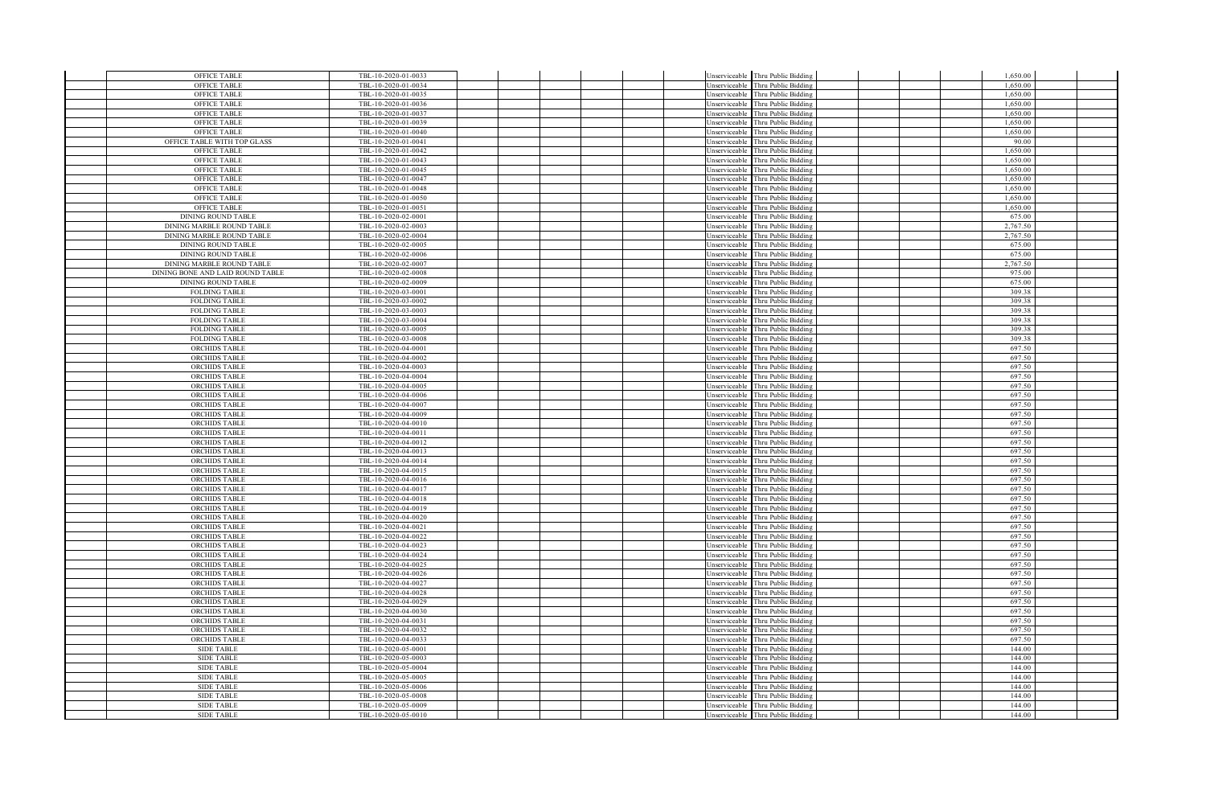| <b>OFFICE TABLE</b>                          | TBL-10-2020-01-0033                        |  |  |               | Unserviceable Thru Public Bidding                                      |  | 1,650.00         |  |
|----------------------------------------------|--------------------------------------------|--|--|---------------|------------------------------------------------------------------------|--|------------------|--|
| <b>OFFICE TABLE</b>                          | TBL-10-2020-01-0034                        |  |  |               | Unserviceable Thru Public Bidding                                      |  | 1,650.00         |  |
| <b>OFFICE TABLE</b>                          | TBL-10-2020-01-0035                        |  |  |               | Unserviceable Thru Public Bidding                                      |  | 1.650.00         |  |
| <b>OFFICE TABLE</b>                          | TBL-10-2020-01-0036                        |  |  |               | Unserviceable Thru Public Bidding                                      |  | 1,650.00         |  |
| <b>OFFICE TABLE</b>                          | TBL-10-2020-01-0037                        |  |  |               | Unserviceable Thru Public Bidding                                      |  | 1,650.00         |  |
| <b>OFFICE TABLE</b>                          | TBL-10-2020-01-0039                        |  |  | Unserviceable | Thru Public Bidding                                                    |  | 1,650.00         |  |
| <b>OFFICE TABLE</b>                          | TBL-10-2020-01-0040                        |  |  |               | Unserviceable Thru Public Bidding                                      |  | 1,650.00         |  |
| OFFICE TABLE WITH TOP GLASS                  | TBL-10-2020-01-0041                        |  |  | Unserviceable | Thru Public Bidding                                                    |  | 90.00            |  |
| OFFICE TABLE                                 | TBL-10-2020-01-0042                        |  |  |               | Unserviceable Thru Public Bidding                                      |  | 1,650.00         |  |
| <b>OFFICE TABLE</b>                          | TBL-10-2020-01-0043                        |  |  |               | Unserviceable Thru Public Bidding                                      |  | 1,650.00         |  |
| <b>OFFICE TABLE</b>                          | TBL-10-2020-01-0045                        |  |  | Unserviceable | Thru Public Bidding                                                    |  | 1,650.00         |  |
| <b>OFFICE TABLE</b>                          | TBL-10-2020-01-0047                        |  |  | Unserviceable | Thru Public Bidding                                                    |  | 1,650.00         |  |
| <b>OFFICE TABLE</b>                          | TBL-10-2020-01-0048                        |  |  | Unserviceable | Thru Public Bidding                                                    |  | 1,650.00         |  |
| OFFICE TABLE                                 | TBL-10-2020-01-0050                        |  |  | Unserviceable | Thru Public Bidding                                                    |  | 1,650.00         |  |
| OFFICE TABLE                                 | TBL-10-2020-01-0051                        |  |  |               | Unserviceable Thru Public Bidding                                      |  | 1,650.00         |  |
| <b>DINING ROUND TABLE</b>                    | TBL-10-2020-02-0001                        |  |  |               | Unserviceable Thru Public Bidding                                      |  | 675.00           |  |
| DINING MARBLE ROUND TABLE                    | TBL-10-2020-02-0003                        |  |  |               | Unserviceable Thru Public Bidding                                      |  | 2.767.50         |  |
| DINING MARBLE ROUND TABLE                    | TBL-10-2020-02-0004                        |  |  | Jnserviceable | Thru Public Bidding                                                    |  | 2.767.50         |  |
| <b>DINING ROUND TABLE</b>                    | TBL-10-2020-02-0005                        |  |  | Unserviceable | Thru Public Bidding                                                    |  | 675.00           |  |
| <b>DINING ROUND TABLE</b>                    | TBL-10-2020-02-0006                        |  |  | Unserviceable | Thru Public Bidding                                                    |  | 675.00           |  |
| DINING MARBLE ROUND TABLE                    | TBL-10-2020-02-0007                        |  |  | Unserviceable | Thru Public Bidding                                                    |  | 2,767.50         |  |
| DINING BONE AND LAID ROUND TABLE             | TBL-10-2020-02-0008                        |  |  | Unserviceable | Thru Public Bidding                                                    |  | 975.00           |  |
| <b>DINING ROUND TABLE</b>                    | TBL-10-2020-02-0009                        |  |  | Unserviceable | Thru Public Bidding                                                    |  | 675.00           |  |
| <b>FOLDING TABLE</b>                         | TBL-10-2020-03-0001                        |  |  | Unserviceable | Thru Public Bidding                                                    |  | 309.38           |  |
| <b>FOLDING TABLE</b>                         | TBL-10-2020-03-0002                        |  |  | Unserviceable | Thru Public Bidding                                                    |  | 309.38           |  |
| <b>FOLDING TABLE</b>                         | TBL-10-2020-03-0003                        |  |  | Unserviceable | Thru Public Bidding                                                    |  | 309.38           |  |
| <b>FOLDING TABLE</b>                         | TBL-10-2020-03-0004                        |  |  |               | Unserviceable Thru Public Bidding                                      |  | 309.38           |  |
| <b>FOLDING TABLE</b>                         | TBL-10-2020-03-0005                        |  |  |               | Unserviceable Thru Public Bidding                                      |  | 309.38           |  |
| <b>FOLDING TABLE</b>                         | TBL-10-2020-03-0008                        |  |  |               | Unserviceable Thru Public Bidding                                      |  | 309.38           |  |
| <b>ORCHIDS TABLE</b>                         | TBL-10-2020-04-0001                        |  |  | Unserviceable | Thru Public Bidding                                                    |  | 697.50           |  |
| <b>ORCHIDS TABLE</b>                         | TBL-10-2020-04-0002                        |  |  | Unserviceable | Thru Public Bidding                                                    |  | 697.50           |  |
| <b>ORCHIDS TABLE</b>                         | TBL-10-2020-04-0003                        |  |  | Unserviceable | Thru Public Bidding                                                    |  | 697.50           |  |
| <b>ORCHIDS TABLE</b>                         | TBL-10-2020-04-0004                        |  |  | Unserviceable | Thru Public Bidding                                                    |  | 697.50           |  |
| <b>ORCHIDS TABLE</b>                         | TBL-10-2020-04-0005                        |  |  |               | Unserviceable Thru Public Bidding                                      |  | 697.50           |  |
| <b>ORCHIDS TABLE</b>                         | TBL-10-2020-04-0006                        |  |  | Unserviceable | Thru Public Bidding                                                    |  | 697.50           |  |
| <b>ORCHIDS TABLE</b>                         | TBL-10-2020-04-0007                        |  |  | Unserviceable | Thru Public Bidding                                                    |  | 697.50           |  |
| <b>ORCHIDS TABLE</b>                         | TBL-10-2020-04-0009                        |  |  | Unserviceable | Thru Public Bidding                                                    |  | 697.50           |  |
| <b>ORCHIDS TABLE</b>                         | TBL-10-2020-04-0010                        |  |  | Unserviceable | Thru Public Bidding                                                    |  | 697.50           |  |
| <b>ORCHIDS TABLE</b>                         | TBL-10-2020-04-0011                        |  |  | Unserviceable | Thru Public Bidding                                                    |  | 697.50<br>697.50 |  |
| <b>ORCHIDS TABLE</b>                         | TBL-10-2020-04-0012                        |  |  |               | Unserviceable Thru Public Bidding                                      |  |                  |  |
| <b>ORCHIDS TABLE</b><br><b>ORCHIDS TABLE</b> | TBL-10-2020-04-0013<br>TBL-10-2020-04-0014 |  |  |               | Unserviceable Thru Public Bidding<br>Unserviceable Thru Public Bidding |  | 697.50<br>697.50 |  |
| <b>ORCHIDS TABLE</b>                         | TBL-10-2020-04-0015                        |  |  | Jnserviceable | Thru Public Bidding                                                    |  | 697.50           |  |
| <b>ORCHIDS TABLE</b>                         | TBL-10-2020-04-0016                        |  |  | Unserviceable | Thru Public Bidding                                                    |  | 697.50           |  |
| <b>ORCHIDS TABLE</b>                         | TBL-10-2020-04-0017                        |  |  | Unserviceable | Thru Public Bidding                                                    |  | 697.50           |  |
| <b>ORCHIDS TABLE</b>                         | TBL-10-2020-04-0018                        |  |  |               | Unserviceable Thru Public Bidding                                      |  | 697.50           |  |
| <b>ORCHIDS TABLE</b>                         | TBL-10-2020-04-0019                        |  |  |               | Unserviceable Thru Public Bidding                                      |  | 697.50           |  |
| <b>ORCHIDS TABLE</b>                         | TBL-10-2020-04-0020                        |  |  |               | Unserviceable Thru Public Bidding                                      |  | 697.50           |  |
| <b>ORCHIDS TABLE</b>                         | TBL-10-2020-04-0021                        |  |  | Unserviceable | Thru Public Bidding                                                    |  | 697.50           |  |
| <b>ORCHIDS TABLE</b>                         | TBL-10-2020-04-0022                        |  |  | Unserviceable | Thru Public Bidding                                                    |  | 697.50           |  |
| <b>ORCHIDS TABLE</b>                         | TBL-10-2020-04-0023                        |  |  | Unserviceable | Thru Public Bidding                                                    |  | 697.50           |  |
| <b>ORCHIDS TABLE</b>                         | TBL-10-2020-04-0024                        |  |  | Jnserviceable | Thru Public Bidding                                                    |  | 697.50           |  |
| <b>ORCHIDS TABLE</b>                         | TBL-10-2020-04-0025                        |  |  |               | Unserviceable Thru Public Bidding                                      |  | 697.50           |  |
| <b>ORCHIDS TABLE</b>                         | TBL-10-2020-04-0026                        |  |  |               | Unserviceable Thru Public Bidding                                      |  | 697.50           |  |
| <b>ORCHIDS TABLE</b>                         | TBL-10-2020-04-0027                        |  |  | Unserviceable | Thru Public Bidding                                                    |  | 697.50           |  |
| <b>ORCHIDS TABLE</b>                         | TBL-10-2020-04-0028                        |  |  | Unserviceable | Thru Public Bidding                                                    |  | 697.50           |  |
| <b>ORCHIDS TABLE</b>                         | TBL-10-2020-04-0029                        |  |  | Unserviceable | Thru Public Bidding                                                    |  | 697.50           |  |
| <b>ORCHIDS TABLE</b>                         | TBL-10-2020-04-0030                        |  |  | Unserviceable | Thru Public Bidding                                                    |  | 697.50           |  |
| <b>ORCHIDS TABLE</b>                         | TBL-10-2020-04-0031                        |  |  | Unserviceable | Thru Public Bidding                                                    |  | 697.50           |  |
| <b>ORCHIDS TABLE</b>                         | TBL-10-2020-04-0032                        |  |  | Unserviceable | Thru Public Bidding                                                    |  | 697.50           |  |
| <b>ORCHIDS TABLE</b>                         | TBL-10-2020-04-0033                        |  |  | Unserviceable | Thru Public Bidding                                                    |  | 697.50           |  |
| SIDE TABLE                                   | TBL-10-2020-05-0001                        |  |  | Unserviceable | Thru Public Bidding                                                    |  | 144.00           |  |
| <b>SIDE TABLE</b>                            | TBL-10-2020-05-0003                        |  |  | Unserviceable | Thru Public Bidding                                                    |  | 144.00           |  |
| <b>SIDE TABLE</b>                            | TBL-10-2020-05-0004                        |  |  | Unserviceable | Thru Public Bidding                                                    |  | 144.00           |  |
| <b>SIDE TABLE</b>                            | TBL-10-2020-05-0005                        |  |  |               | Unserviceable Thru Public Bidding                                      |  | 144.00           |  |
| <b>SIDE TABLE</b>                            | TBL-10-2020-05-0006                        |  |  |               | Unserviceable Thru Public Bidding                                      |  | 144.00           |  |
| <b>SIDE TABLE</b>                            | TBL-10-2020-05-0008                        |  |  |               | Unserviceable Thru Public Bidding                                      |  | 144.00           |  |
| <b>SIDE TABLE</b>                            | TBL-10-2020-05-0009                        |  |  |               | Unserviceable Thru Public Bidding                                      |  | 144.00           |  |
| <b>SIDE TABLE</b>                            | TBL-10-2020-05-0010                        |  |  |               | Unserviceable Thru Public Bidding                                      |  | 144.00           |  |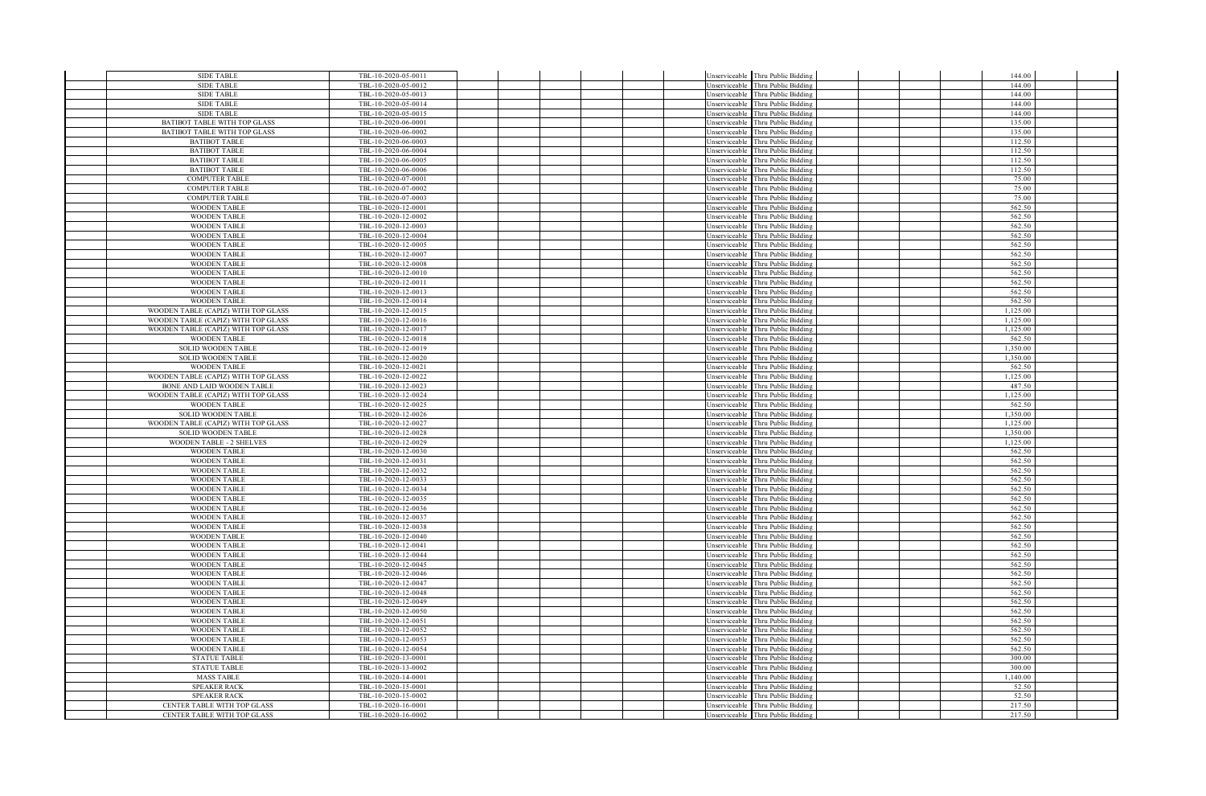| SIDE TABLE                                 | TBL-10-2020-05-0011                        |  |  | Unserviceable Thru Public Bidding                                      |  | 144.00           |  |
|--------------------------------------------|--------------------------------------------|--|--|------------------------------------------------------------------------|--|------------------|--|
| <b>SIDE TABLE</b>                          | TBL-10-2020-05-0012                        |  |  | Unserviceable Thru Public Bidding                                      |  | 144.00           |  |
| <b>SIDE TABLE</b>                          | TBL-10-2020-05-0013                        |  |  | Unserviceable Thru Public Bidding                                      |  | 144.00           |  |
| <b>SIDE TABLE</b>                          | TBL-10-2020-05-0014                        |  |  | Unserviceable Thru Public Bidding                                      |  | 144.00           |  |
| <b>SIDE TABLE</b>                          | TBL-10-2020-05-0015                        |  |  | Unserviceable Thru Public Bidding                                      |  | 144.00           |  |
| BATIBOT TABLE WITH TOP GLASS               | TBL-10-2020-06-0001                        |  |  | Unserviceable Thru Public Biddins                                      |  | 135.00           |  |
| BATIBOT TABLE WITH TOP GLASS               | TBL-10-2020-06-0002                        |  |  | Unserviceable Thru Public Bidding                                      |  | 135.00           |  |
| <b>BATIBOT TABLE</b>                       | TBL-10-2020-06-0003                        |  |  | Unserviceable Thru Public Bidding                                      |  | 112.50           |  |
| <b>BATIBOT TABLE</b>                       | TBL-10-2020-06-0004                        |  |  | Unserviceable Thru Public Bidding                                      |  | 112.50           |  |
| <b>BATIBOT TABLE</b>                       | TBL-10-2020-06-0005                        |  |  | Unserviceable Thru Public Bidding                                      |  | 112.50           |  |
| <b>BATIBOT TABLE</b>                       | TBL-10-2020-06-0006                        |  |  | Unserviceable Thru Public Bidding                                      |  | 112.50           |  |
| <b>COMPUTER TABLE</b>                      | TBL-10-2020-07-0001                        |  |  | Unserviceable Thru Public Biddin                                       |  | 75.00            |  |
| <b>COMPUTER TABLE</b>                      | TBL-10-2020-07-0002                        |  |  | Unserviceable Thru Public Bidding                                      |  | 75.00            |  |
| <b>COMPUTER TABLE</b>                      | TBL-10-2020-07-0003                        |  |  | Unserviceable Thru Public Bidding                                      |  | 75.00            |  |
| <b>WOODEN TABLE</b>                        | TBL-10-2020-12-0001                        |  |  | Jnserviceable Thru Public Bidding                                      |  | 562.50           |  |
| <b>WOODEN TABLE</b>                        | TBL-10-2020-12-0002                        |  |  | Jnserviceable Thru Public Bidding                                      |  | 562.50           |  |
| <b>WOODEN TABLE</b>                        | TBL-10-2020-12-0003                        |  |  | Unserviceable Thru Public Bidding                                      |  | 562.50           |  |
| <b>WOODEN TABLE</b><br><b>WOODEN TABLE</b> | TBL-10-2020-12-0004                        |  |  | Jnserviceable Thru Public Biddin                                       |  | 562.50<br>562.50 |  |
|                                            | TBL-10-2020-12-0005                        |  |  | Unserviceable Thru Public Bidding                                      |  | 562.50           |  |
| <b>WOODEN TABLE</b><br><b>WOODEN TABLE</b> | TBL-10-2020-12-0007<br>TBL-10-2020-12-0008 |  |  | Jnserviceable Thru Public Bidding<br>Unserviceable Thru Public Bidding |  | 562.50           |  |
| <b>WOODEN TABLE</b>                        | TBL-10-2020-12-0010                        |  |  | Unserviceable Thru Public Bidding                                      |  | 562.50           |  |
| <b>WOODEN TABLE</b>                        | TBL-10-2020-12-0011                        |  |  | Unserviceable Thru Public Bidding                                      |  | 562.50           |  |
| <b>WOODEN TABLE</b>                        | TBL-10-2020-12-0013                        |  |  | Unserviceable Thru Public Bidding                                      |  | 562.50           |  |
| <b>WOODEN TABLE</b>                        | TBL-10-2020-12-0014                        |  |  | Unserviceable Thru Public Bidding                                      |  | 562.50           |  |
| WOODEN TABLE (CAPIZ) WITH TOP GLASS        | TBL-10-2020-12-0015                        |  |  | Unserviceable Thru Public Bidding                                      |  | 1,125.00         |  |
| WOODEN TABLE (CAPIZ) WITH TOP GLASS        | TBL-10-2020-12-0016                        |  |  | Jnserviceable Thru Public Bidding                                      |  | 1,125.00         |  |
| WOODEN TABLE (CAPIZ) WITH TOP GLASS        | TBL-10-2020-12-0017                        |  |  | Jnserviceable Thru Public Bidding                                      |  | 1.125.00         |  |
| <b>WOODEN TABLE</b>                        | TBL-10-2020-12-0018                        |  |  | Unserviceable Thru Public Bidding                                      |  | 562.50           |  |
| <b>SOLID WOODEN TABLE</b>                  | TBL-10-2020-12-0019                        |  |  | Unserviceable Thru Public Bidding                                      |  | 1,350.00         |  |
| SOLID WOODEN TABLE                         | TBL-10-2020-12-0020                        |  |  | Unserviceable Thru Public Bidding                                      |  | 1.350.00         |  |
| <b>WOODEN TABLE</b>                        | TBL-10-2020-12-0021                        |  |  | Unserviceable Thru Public Bidding                                      |  | 562.50           |  |
| WOODEN TABLE (CAPIZ) WITH TOP GLASS        | TBL-10-2020-12-0022                        |  |  | Unserviceable Thru Public Bidding                                      |  | 1.125.00         |  |
| BONE AND LAID WOODEN TABLE                 | TBL-10-2020-12-0023                        |  |  | Unserviceable Thru Public Bidding                                      |  | 487.50           |  |
| WOODEN TABLE (CAPIZ) WITH TOP GLASS        | TBL-10-2020-12-0024                        |  |  | Unserviceable Thru Public Bidding                                      |  | 1,125.00         |  |
| <b>WOODEN TABLE</b>                        | TBL-10-2020-12-0025                        |  |  | Unserviceable Thru Public Bidding                                      |  | 562.50           |  |
| SOLID WOODEN TABLE                         | TBL-10-2020-12-0026                        |  |  | Unserviceable Thru Public Bidding                                      |  | 1.350.00         |  |
| WOODEN TABLE (CAPIZ) WITH TOP GLASS        | TBL-10-2020-12-0027                        |  |  | Unserviceable Thru Public Bidding                                      |  | 1,125.00         |  |
| SOLID WOODEN TABLE                         | TBL-10-2020-12-0028                        |  |  | Unserviceable Thru Public Bidding                                      |  | 1,350.00         |  |
| <b>WOODEN TABLE - 2 SHELVES</b>            | TBL-10-2020-12-0029                        |  |  | Unserviceable Thru Public Bidding                                      |  | 1.125.00         |  |
| <b>WOODEN TABLE</b>                        | TBL-10-2020-12-0030                        |  |  | Unserviceable Thru Public Bidding                                      |  | 562.50           |  |
| <b>WOODEN TABLE</b>                        | TBL-10-2020-12-0031                        |  |  | Unserviceable Thru Public Biddin                                       |  | 562.50           |  |
| <b>WOODEN TABLE</b>                        | TBL-10-2020-12-0032                        |  |  | Unserviceable Thru Public Bidding                                      |  | 562.50           |  |
| <b>WOODEN TABLE</b>                        | TBL-10-2020-12-0033                        |  |  | Jnserviceable Thru Public Bidding                                      |  | 562.50           |  |
| <b>WOODEN TABLE</b>                        | TBL-10-2020-12-0034                        |  |  | Unserviceable Thru Public Bidding                                      |  | 562.50           |  |
| <b>WOODEN TABLE</b>                        | TBL-10-2020-12-0035                        |  |  | Unserviceable Thru Public Bidding                                      |  | 562.50<br>562.50 |  |
| <b>WOODEN TABLE</b>                        | TBL-10-2020-12-0036                        |  |  | Unserviceable Thru Public Bidding                                      |  | 562.50           |  |
| <b>WOODEN TABLE</b><br><b>WOODEN TABLE</b> | TBL-10-2020-12-0037<br>TBL-10-2020-12-0038 |  |  | Unserviceable Thru Public Bidding<br>Unserviceable Thru Public Bidding |  | 562.50           |  |
| <b>WOODEN TABLE</b>                        | TBL-10-2020-12-0040                        |  |  | Unserviceable Thru Public Bidding                                      |  | 562.50           |  |
| <b>WOODEN TABLE</b>                        | TBL-10-2020-12-0041                        |  |  | Unserviceable Thru Public Bidding                                      |  | 562.50           |  |
| <b>WOODEN TABLE</b>                        | TBL-10-2020-12-0044                        |  |  | Unserviceable Thru Public Bidding                                      |  | 562.50           |  |
| <b>WOODEN TABLE</b>                        | TBL-10-2020-12-0045                        |  |  | Unserviceable Thru Public Bidding                                      |  | 562.50           |  |
| <b>WOODEN TABLE</b>                        | TBL-10-2020-12-0046                        |  |  | Unserviceable Thru Public Bidding                                      |  | 562.50           |  |
| <b>WOODEN TABLE</b>                        | TBL-10-2020-12-0047                        |  |  | Unserviceable Thru Public Bidding                                      |  | 562.50           |  |
| <b>WOODEN TABLE</b>                        | TBL-10-2020-12-0048                        |  |  | Unserviceable Thru Public Bidding                                      |  | 562.50           |  |
| <b>WOODEN TABLE</b>                        | TBL-10-2020-12-0049                        |  |  | Unserviceable Thru Public Bidding                                      |  | 562.50           |  |
| <b>WOODEN TABLE</b>                        | TBL-10-2020-12-0050                        |  |  | Unserviceable Thru Public Bidding                                      |  | 562.50           |  |
| <b>WOODEN TABLE</b>                        | TBL-10-2020-12-0051                        |  |  | Unserviceable Thru Public Bidding                                      |  | 562.50           |  |
| <b>WOODEN TABLE</b>                        | TBL-10-2020-12-0052                        |  |  | Unserviceable Thru Public Bidding                                      |  | 562.50           |  |
| <b>WOODEN TABLE</b>                        | TBL-10-2020-12-0053                        |  |  | Unserviceable Thru Public Bidding                                      |  | 562.50           |  |
| <b>WOODEN TABLE</b>                        | TBL-10-2020-12-0054                        |  |  | Jnserviceable Thru Public Biddin;                                      |  | 562.50           |  |
| <b>STATUE TABLE</b>                        | TBL-10-2020-13-0001                        |  |  | Jnserviceable Thru Public Bidding                                      |  | 300.00           |  |
| <b>STATUE TABLE</b>                        | TBL-10-2020-13-0002                        |  |  | Unserviceable Thru Public Bidding                                      |  | 300.00           |  |
| <b>MASS TABLE</b>                          | TBL-10-2020-14-0001                        |  |  | Unserviceable Thru Public Bidding                                      |  | 1,140.00         |  |
| <b>SPEAKER RACK</b>                        | TBL-10-2020-15-0001                        |  |  | Unserviceable Thru Public Bidding                                      |  | 52.50            |  |
| <b>SPEAKER RACK</b>                        | TBL-10-2020-15-0002                        |  |  | Unserviceable Thru Public Bidding                                      |  | 52.50            |  |
| CENTER TABLE WITH TOP GLASS                | TBL-10-2020-16-0001                        |  |  | Unserviceable Thru Public Bidding                                      |  | 217.50           |  |
| CENTER TABLE WITH TOP GLASS                | TBL-10-2020-16-0002                        |  |  | Unserviceable Thru Public Bidding                                      |  | 217.50           |  |